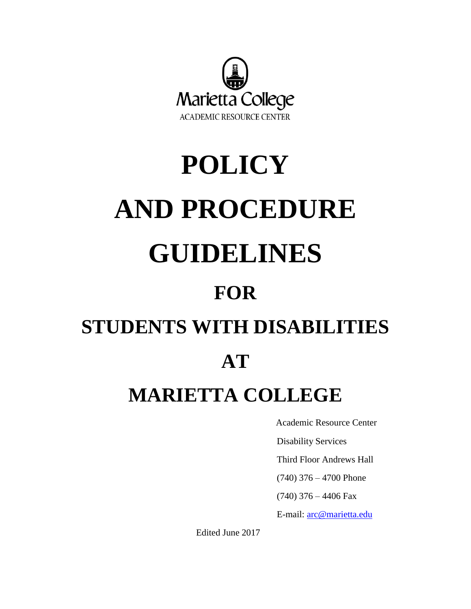

# **POLICY AND PROCEDURE GUIDELINES**

# **FOR**

# **STUDENTS WITH DISABILITIES**

# **AT**

# **MARIETTA COLLEGE**

Academic Resource Center

Disability Services

Third Floor Andrews Hall

(740) 376 – 4700 Phone

(740) 376 – 4406 Fax

E-mail: [arc@marietta.edu](mailto:arc@marietta.edu)

Edited June 2017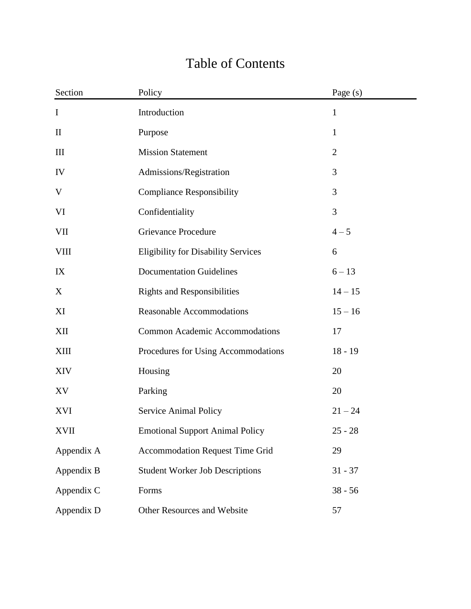| Section      | Policy                                     | Page (s)       |  |
|--------------|--------------------------------------------|----------------|--|
| $\mathbf I$  | Introduction                               | $\mathbf{1}$   |  |
| $\mathbf{I}$ | Purpose                                    | $\mathbf{1}$   |  |
| III          | <b>Mission Statement</b>                   | $\overline{2}$ |  |
| IV           | Admissions/Registration                    | 3              |  |
| V            | <b>Compliance Responsibility</b>           | 3              |  |
| VI           | Confidentiality                            | 3              |  |
| VII          | <b>Grievance Procedure</b>                 | $4 - 5$        |  |
| <b>VIII</b>  | <b>Eligibility for Disability Services</b> | 6              |  |
| IX           | <b>Documentation Guidelines</b>            | $6 - 13$       |  |
| X            | <b>Rights and Responsibilities</b>         | $14 - 15$      |  |
| XI           | <b>Reasonable Accommodations</b>           | $15 - 16$      |  |
| XII          | <b>Common Academic Accommodations</b>      | 17             |  |
| <b>XIII</b>  | Procedures for Using Accommodations        | $18 - 19$      |  |
| <b>XIV</b>   | Housing                                    | 20             |  |
| XV           | Parking                                    | 20             |  |
| XVI          | Service Animal Policy                      | $21 - 24$      |  |
| <b>XVII</b>  | <b>Emotional Support Animal Policy</b>     | $25 - 28$      |  |
| Appendix A   | <b>Accommodation Request Time Grid</b>     | 29             |  |
| Appendix B   | <b>Student Worker Job Descriptions</b>     | $31 - 37$      |  |
| Appendix C   | Forms                                      | $38 - 56$      |  |
| Appendix D   | Other Resources and Website                | 57             |  |

# Table of Contents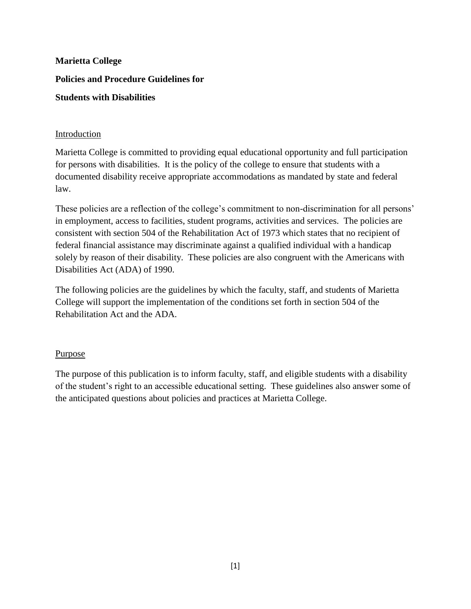#### Introduction

Marietta College is committed to providing equal educational opportunity and full participation for persons with disabilities. It is the policy of the college to ensure that students with a documented disability receive appropriate accommodations as mandated by state and federal law.

These policies are a reflection of the college's commitment to non-discrimination for all persons' in employment, access to facilities, student programs, activities and services. The policies are consistent with section 504 of the Rehabilitation Act of 1973 which states that no recipient of federal financial assistance may discriminate against a qualified individual with a handicap solely by reason of their disability. These policies are also congruent with the Americans with Disabilities Act (ADA) of 1990.

The following policies are the guidelines by which the faculty, staff, and students of Marietta College will support the implementation of the conditions set forth in section 504 of the Rehabilitation Act and the ADA.

#### **Purpose**

The purpose of this publication is to inform faculty, staff, and eligible students with a disability of the student's right to an accessible educational setting. These guidelines also answer some of the anticipated questions about policies and practices at Marietta College.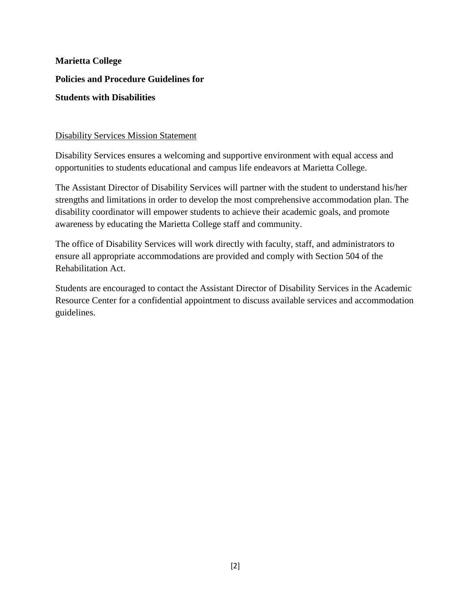#### Disability Services Mission Statement

Disability Services ensures a welcoming and supportive environment with equal access and opportunities to students educational and campus life endeavors at Marietta College.

The Assistant Director of Disability Services will partner with the student to understand his/her strengths and limitations in order to develop the most comprehensive accommodation plan. The disability coordinator will empower students to achieve their academic goals, and promote awareness by educating the Marietta College staff and community.

The office of Disability Services will work directly with faculty, staff, and administrators to ensure all appropriate accommodations are provided and comply with Section 504 of the Rehabilitation Act.

Students are encouraged to contact the Assistant Director of Disability Services in the Academic Resource Center for a confidential appointment to discuss available services and accommodation guidelines.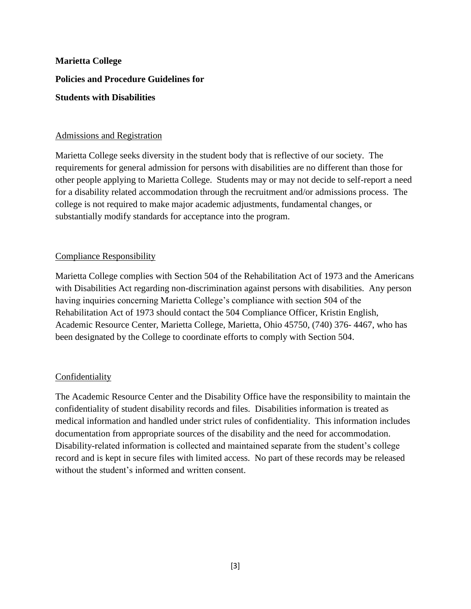#### Admissions and Registration

Marietta College seeks diversity in the student body that is reflective of our society. The requirements for general admission for persons with disabilities are no different than those for other people applying to Marietta College. Students may or may not decide to self-report a need for a disability related accommodation through the recruitment and/or admissions process. The college is not required to make major academic adjustments, fundamental changes, or substantially modify standards for acceptance into the program.

#### Compliance Responsibility

Marietta College complies with Section 504 of the Rehabilitation Act of 1973 and the Americans with Disabilities Act regarding non-discrimination against persons with disabilities. Any person having inquiries concerning Marietta College's compliance with section 504 of the Rehabilitation Act of 1973 should contact the 504 Compliance Officer, Kristin English, Academic Resource Center, Marietta College, Marietta, Ohio 45750, (740) 376- 4467, who has been designated by the College to coordinate efforts to comply with Section 504.

#### Confidentiality

The Academic Resource Center and the Disability Office have the responsibility to maintain the confidentiality of student disability records and files. Disabilities information is treated as medical information and handled under strict rules of confidentiality. This information includes documentation from appropriate sources of the disability and the need for accommodation. Disability-related information is collected and maintained separate from the student's college record and is kept in secure files with limited access. No part of these records may be released without the student's informed and written consent.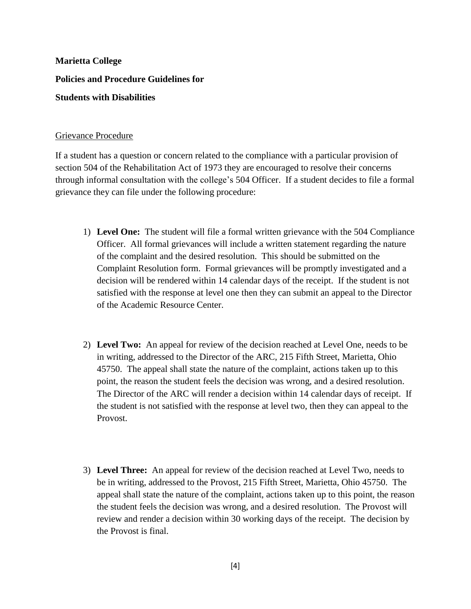#### Grievance Procedure

If a student has a question or concern related to the compliance with a particular provision of section 504 of the Rehabilitation Act of 1973 they are encouraged to resolve their concerns through informal consultation with the college's 504 Officer. If a student decides to file a formal grievance they can file under the following procedure:

- 1) **Level One:** The student will file a formal written grievance with the 504 Compliance Officer. All formal grievances will include a written statement regarding the nature of the complaint and the desired resolution. This should be submitted on the Complaint Resolution form. Formal grievances will be promptly investigated and a decision will be rendered within 14 calendar days of the receipt. If the student is not satisfied with the response at level one then they can submit an appeal to the Director of the Academic Resource Center.
- 2) **Level Two:** An appeal for review of the decision reached at Level One, needs to be in writing, addressed to the Director of the ARC, 215 Fifth Street, Marietta, Ohio 45750. The appeal shall state the nature of the complaint, actions taken up to this point, the reason the student feels the decision was wrong, and a desired resolution. The Director of the ARC will render a decision within 14 calendar days of receipt. If the student is not satisfied with the response at level two, then they can appeal to the Provost.
- 3) **Level Three:** An appeal for review of the decision reached at Level Two, needs to be in writing, addressed to the Provost, 215 Fifth Street, Marietta, Ohio 45750. The appeal shall state the nature of the complaint, actions taken up to this point, the reason the student feels the decision was wrong, and a desired resolution. The Provost will review and render a decision within 30 working days of the receipt. The decision by the Provost is final.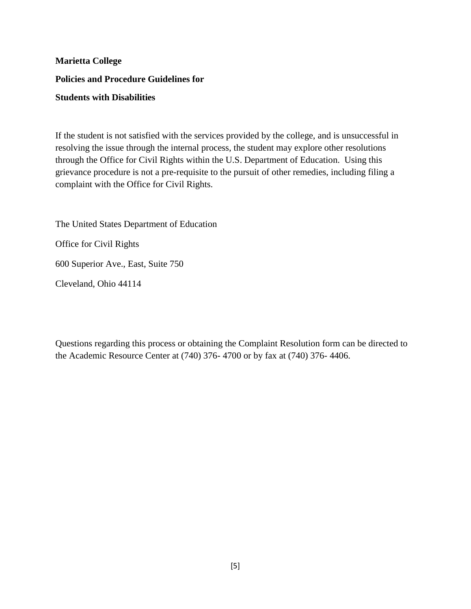If the student is not satisfied with the services provided by the college, and is unsuccessful in resolving the issue through the internal process, the student may explore other resolutions through the Office for Civil Rights within the U.S. Department of Education. Using this grievance procedure is not a pre-requisite to the pursuit of other remedies, including filing a complaint with the Office for Civil Rights.

The United States Department of Education Office for Civil Rights 600 Superior Ave., East, Suite 750 Cleveland, Ohio 44114

Questions regarding this process or obtaining the Complaint Resolution form can be directed to the Academic Resource Center at (740) 376- 4700 or by fax at (740) 376- 4406.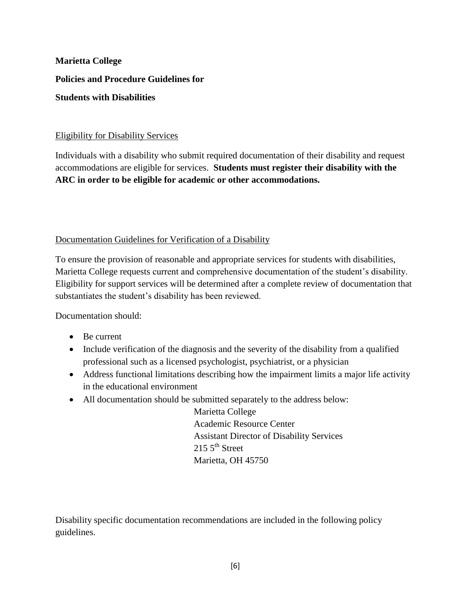#### Eligibility for Disability Services

Individuals with a disability who submit required documentation of their disability and request accommodations are eligible for services. **Students must register their disability with the ARC in order to be eligible for academic or other accommodations.**

Documentation Guidelines for Verification of a Disability

To ensure the provision of reasonable and appropriate services for students with disabilities, Marietta College requests current and comprehensive documentation of the student's disability. Eligibility for support services will be determined after a complete review of documentation that substantiates the student's disability has been reviewed.

Documentation should:

- Be current
- Include verification of the diagnosis and the severity of the disability from a qualified professional such as a licensed psychologist, psychiatrist, or a physician
- Address functional limitations describing how the impairment limits a major life activity in the educational environment
- All documentation should be submitted separately to the address below:

Marietta College Academic Resource Center Assistant Director of Disability Services  $2155^{\text{th}}$  Street Marietta, OH 45750

Disability specific documentation recommendations are included in the following policy guidelines.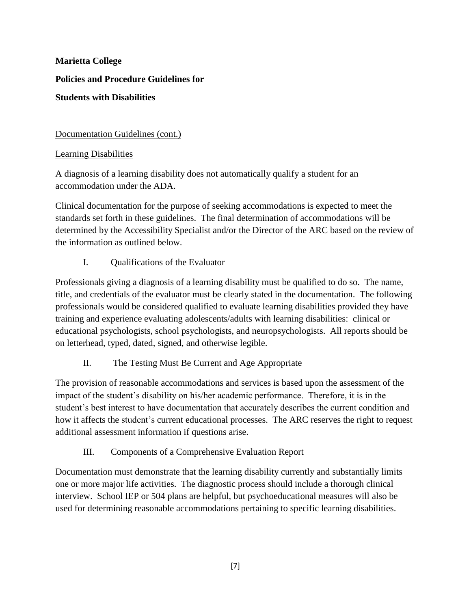Documentation Guidelines (cont.)

Learning Disabilities

A diagnosis of a learning disability does not automatically qualify a student for an accommodation under the ADA.

Clinical documentation for the purpose of seeking accommodations is expected to meet the standards set forth in these guidelines. The final determination of accommodations will be determined by the Accessibility Specialist and/or the Director of the ARC based on the review of the information as outlined below.

I. Qualifications of the Evaluator

Professionals giving a diagnosis of a learning disability must be qualified to do so. The name, title, and credentials of the evaluator must be clearly stated in the documentation. The following professionals would be considered qualified to evaluate learning disabilities provided they have training and experience evaluating adolescents/adults with learning disabilities: clinical or educational psychologists, school psychologists, and neuropsychologists. All reports should be on letterhead, typed, dated, signed, and otherwise legible.

II. The Testing Must Be Current and Age Appropriate

The provision of reasonable accommodations and services is based upon the assessment of the impact of the student's disability on his/her academic performance. Therefore, it is in the student's best interest to have documentation that accurately describes the current condition and how it affects the student's current educational processes. The ARC reserves the right to request additional assessment information if questions arise.

III. Components of a Comprehensive Evaluation Report

Documentation must demonstrate that the learning disability currently and substantially limits one or more major life activities. The diagnostic process should include a thorough clinical interview. School IEP or 504 plans are helpful, but psychoeducational measures will also be used for determining reasonable accommodations pertaining to specific learning disabilities.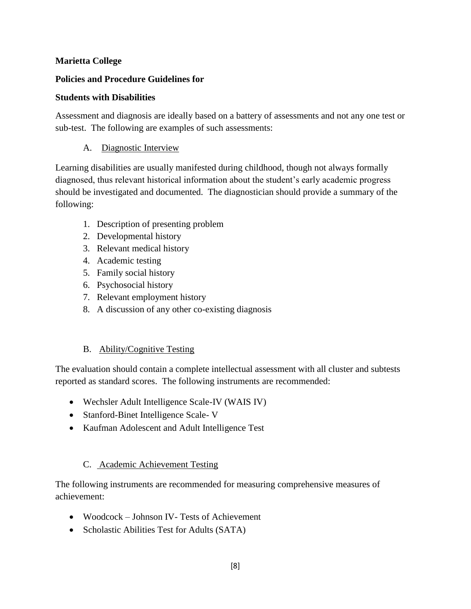#### **Policies and Procedure Guidelines for**

#### **Students with Disabilities**

Assessment and diagnosis are ideally based on a battery of assessments and not any one test or sub-test. The following are examples of such assessments:

#### A. Diagnostic Interview

Learning disabilities are usually manifested during childhood, though not always formally diagnosed, thus relevant historical information about the student's early academic progress should be investigated and documented. The diagnostician should provide a summary of the following:

- 1. Description of presenting problem
- 2. Developmental history
- 3. Relevant medical history
- 4. Academic testing
- 5. Family social history
- 6. Psychosocial history
- 7. Relevant employment history
- 8. A discussion of any other co-existing diagnosis

#### B. Ability/Cognitive Testing

The evaluation should contain a complete intellectual assessment with all cluster and subtests reported as standard scores. The following instruments are recommended:

- Wechsler Adult Intelligence Scale-IV (WAIS IV)
- Stanford-Binet Intelligence Scale- V
- Kaufman Adolescent and Adult Intelligence Test

#### C. Academic Achievement Testing

The following instruments are recommended for measuring comprehensive measures of achievement:

- Woodcock Johnson IV- Tests of Achievement
- Scholastic Abilities Test for Adults (SATA)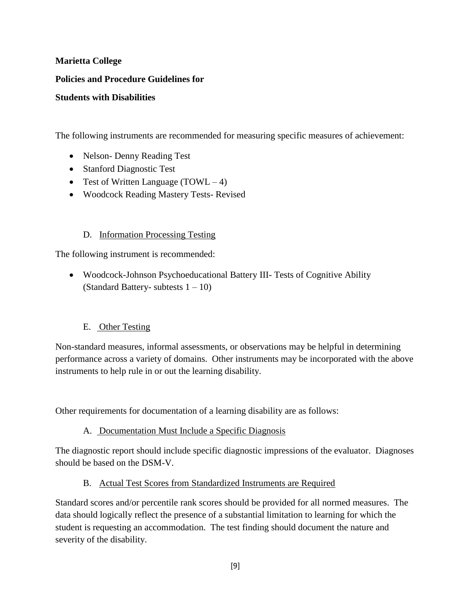#### **Policies and Procedure Guidelines for**

#### **Students with Disabilities**

The following instruments are recommended for measuring specific measures of achievement:

- Nelson-Denny Reading Test
- Stanford Diagnostic Test
- Test of Written Language  $(TOWL 4)$
- Woodcock Reading Mastery Tests- Revised

#### D. Information Processing Testing

The following instrument is recommended:

 Woodcock-Johnson Psychoeducational Battery III- Tests of Cognitive Ability (Standard Battery- subtests  $1 - 10$ )

#### E. Other Testing

Non-standard measures, informal assessments, or observations may be helpful in determining performance across a variety of domains. Other instruments may be incorporated with the above instruments to help rule in or out the learning disability.

Other requirements for documentation of a learning disability are as follows:

A. Documentation Must Include a Specific Diagnosis

The diagnostic report should include specific diagnostic impressions of the evaluator. Diagnoses should be based on the DSM-V.

#### B. Actual Test Scores from Standardized Instruments are Required

Standard scores and/or percentile rank scores should be provided for all normed measures. The data should logically reflect the presence of a substantial limitation to learning for which the student is requesting an accommodation. The test finding should document the nature and severity of the disability.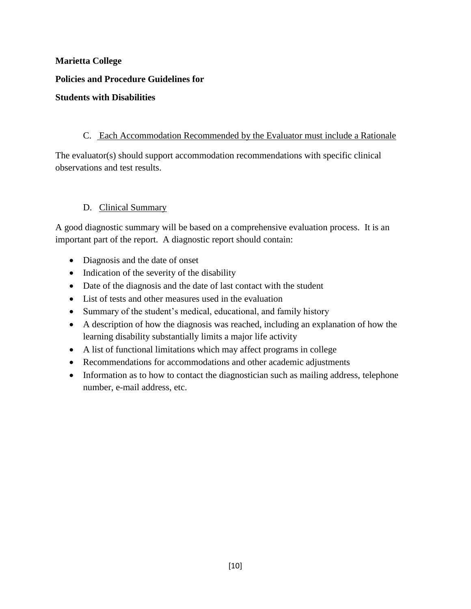#### C. Each Accommodation Recommended by the Evaluator must include a Rationale

The evaluator(s) should support accommodation recommendations with specific clinical observations and test results.

#### D. Clinical Summary

A good diagnostic summary will be based on a comprehensive evaluation process. It is an important part of the report. A diagnostic report should contain:

- Diagnosis and the date of onset
- Indication of the severity of the disability
- Date of the diagnosis and the date of last contact with the student
- List of tests and other measures used in the evaluation
- Summary of the student's medical, educational, and family history
- A description of how the diagnosis was reached, including an explanation of how the learning disability substantially limits a major life activity
- A list of functional limitations which may affect programs in college
- Recommendations for accommodations and other academic adjustments
- Information as to how to contact the diagnostician such as mailing address, telephone number, e-mail address, etc.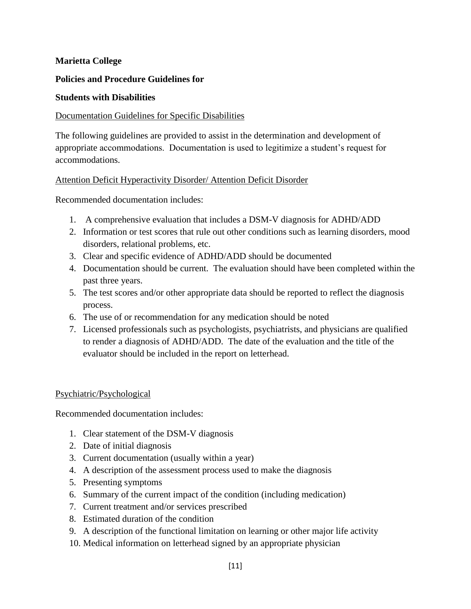#### **Policies and Procedure Guidelines for**

#### **Students with Disabilities**

#### Documentation Guidelines for Specific Disabilities

The following guidelines are provided to assist in the determination and development of appropriate accommodations. Documentation is used to legitimize a student's request for accommodations.

#### Attention Deficit Hyperactivity Disorder/ Attention Deficit Disorder

Recommended documentation includes:

- 1. A comprehensive evaluation that includes a DSM-V diagnosis for ADHD/ADD
- 2. Information or test scores that rule out other conditions such as learning disorders, mood disorders, relational problems, etc.
- 3. Clear and specific evidence of ADHD/ADD should be documented
- 4. Documentation should be current. The evaluation should have been completed within the past three years.
- 5. The test scores and/or other appropriate data should be reported to reflect the diagnosis process.
- 6. The use of or recommendation for any medication should be noted
- 7. Licensed professionals such as psychologists, psychiatrists, and physicians are qualified to render a diagnosis of ADHD/ADD. The date of the evaluation and the title of the evaluator should be included in the report on letterhead.

#### Psychiatric/Psychological

Recommended documentation includes:

- 1. Clear statement of the DSM-V diagnosis
- 2. Date of initial diagnosis
- 3. Current documentation (usually within a year)
- 4. A description of the assessment process used to make the diagnosis
- 5. Presenting symptoms
- 6. Summary of the current impact of the condition (including medication)
- 7. Current treatment and/or services prescribed
- 8. Estimated duration of the condition
- 9. A description of the functional limitation on learning or other major life activity
- 10. Medical information on letterhead signed by an appropriate physician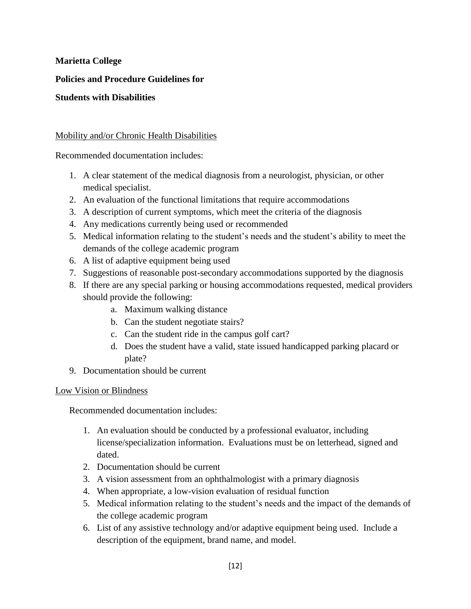**Policies and Procedure Guidelines for**

#### **Students with Disabilities**

#### Mobility and/or Chronic Health Disabilities

Recommended documentation includes:

- 1. A clear statement of the medical diagnosis from a neurologist, physician, or other medical specialist.
- 2. An evaluation of the functional limitations that require accommodations
- 3. A description of current symptoms, which meet the criteria of the diagnosis
- 4. Any medications currently being used or recommended
- 5. Medical information relating to the student's needs and the student's ability to meet the demands of the college academic program
- 6. A list of adaptive equipment being used
- 7. Suggestions of reasonable post-secondary accommodations supported by the diagnosis
- 8. If there are any special parking or housing accommodations requested, medical providers should provide the following:
	- a. Maximum walking distance
	- b. Can the student negotiate stairs?
	- c. Can the student ride in the campus golf cart?
	- d. Does the student have a valid, state issued handicapped parking placard or plate?
- 9. Documentation should be current

#### Low Vision or Blindness

Recommended documentation includes:

- 1. An evaluation should be conducted by a professional evaluator, including license/specialization information. Evaluations must be on letterhead, signed and dated.
- 2. Documentation should be current
- 3. A vision assessment from an ophthalmologist with a primary diagnosis
- 4. When appropriate, a low-vision evaluation of residual function
- 5. Medical information relating to the student's needs and the impact of the demands of the college academic program
- 6. List of any assistive technology and/or adaptive equipment being used. Include a description of the equipment, brand name, and model.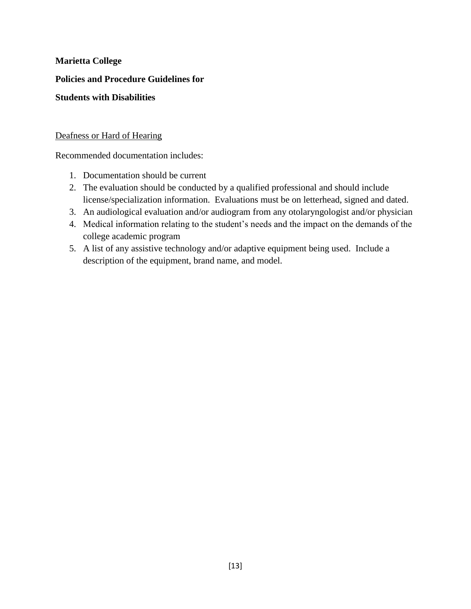**Policies and Procedure Guidelines for**

#### **Students with Disabilities**

#### Deafness or Hard of Hearing

Recommended documentation includes:

- 1. Documentation should be current
- 2. The evaluation should be conducted by a qualified professional and should include license/specialization information. Evaluations must be on letterhead, signed and dated.
- 3. An audiological evaluation and/or audiogram from any otolaryngologist and/or physician
- 4. Medical information relating to the student's needs and the impact on the demands of the college academic program
- 5. A list of any assistive technology and/or adaptive equipment being used. Include a description of the equipment, brand name, and model.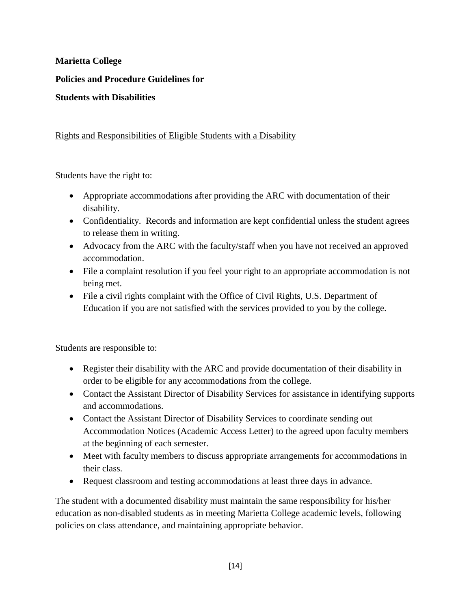**Policies and Procedure Guidelines for**

#### **Students with Disabilities**

#### Rights and Responsibilities of Eligible Students with a Disability

Students have the right to:

- Appropriate accommodations after providing the ARC with documentation of their disability.
- Confidentiality. Records and information are kept confidential unless the student agrees to release them in writing.
- Advocacy from the ARC with the faculty/staff when you have not received an approved accommodation.
- File a complaint resolution if you feel your right to an appropriate accommodation is not being met.
- File a civil rights complaint with the Office of Civil Rights, U.S. Department of Education if you are not satisfied with the services provided to you by the college.

Students are responsible to:

- Register their disability with the ARC and provide documentation of their disability in order to be eligible for any accommodations from the college.
- Contact the Assistant Director of Disability Services for assistance in identifying supports and accommodations.
- Contact the Assistant Director of Disability Services to coordinate sending out Accommodation Notices (Academic Access Letter) to the agreed upon faculty members at the beginning of each semester.
- Meet with faculty members to discuss appropriate arrangements for accommodations in their class.
- Request classroom and testing accommodations at least three days in advance.

The student with a documented disability must maintain the same responsibility for his/her education as non-disabled students as in meeting Marietta College academic levels, following policies on class attendance, and maintaining appropriate behavior.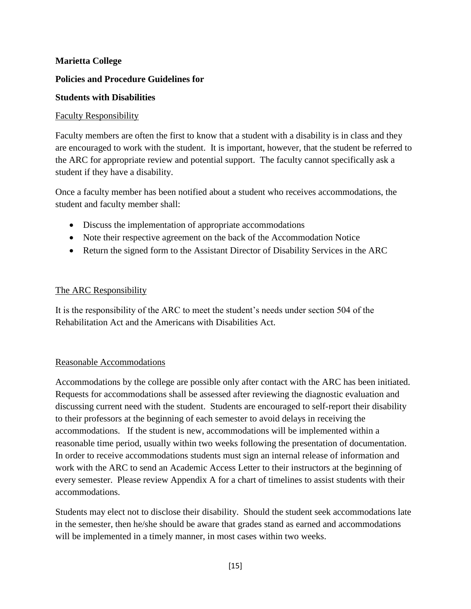#### **Policies and Procedure Guidelines for**

#### **Students with Disabilities**

#### Faculty Responsibility

Faculty members are often the first to know that a student with a disability is in class and they are encouraged to work with the student. It is important, however, that the student be referred to the ARC for appropriate review and potential support. The faculty cannot specifically ask a student if they have a disability.

Once a faculty member has been notified about a student who receives accommodations, the student and faculty member shall:

- Discuss the implementation of appropriate accommodations
- Note their respective agreement on the back of the Accommodation Notice
- Return the signed form to the Assistant Director of Disability Services in the ARC

#### The ARC Responsibility

It is the responsibility of the ARC to meet the student's needs under section 504 of the Rehabilitation Act and the Americans with Disabilities Act.

#### Reasonable Accommodations

Accommodations by the college are possible only after contact with the ARC has been initiated. Requests for accommodations shall be assessed after reviewing the diagnostic evaluation and discussing current need with the student. Students are encouraged to self-report their disability to their professors at the beginning of each semester to avoid delays in receiving the accommodations. If the student is new, accommodations will be implemented within a reasonable time period, usually within two weeks following the presentation of documentation. In order to receive accommodations students must sign an internal release of information and work with the ARC to send an Academic Access Letter to their instructors at the beginning of every semester. Please review Appendix A for a chart of timelines to assist students with their accommodations.

Students may elect not to disclose their disability. Should the student seek accommodations late in the semester, then he/she should be aware that grades stand as earned and accommodations will be implemented in a timely manner, in most cases within two weeks.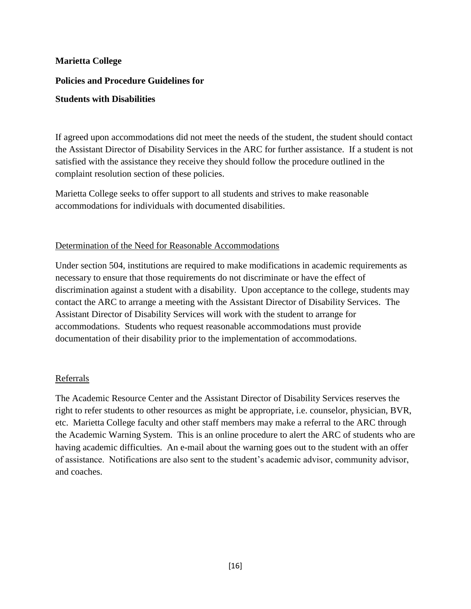#### **Policies and Procedure Guidelines for**

#### **Students with Disabilities**

If agreed upon accommodations did not meet the needs of the student, the student should contact the Assistant Director of Disability Services in the ARC for further assistance. If a student is not satisfied with the assistance they receive they should follow the procedure outlined in the complaint resolution section of these policies.

Marietta College seeks to offer support to all students and strives to make reasonable accommodations for individuals with documented disabilities.

#### Determination of the Need for Reasonable Accommodations

Under section 504, institutions are required to make modifications in academic requirements as necessary to ensure that those requirements do not discriminate or have the effect of discrimination against a student with a disability. Upon acceptance to the college, students may contact the ARC to arrange a meeting with the Assistant Director of Disability Services. The Assistant Director of Disability Services will work with the student to arrange for accommodations. Students who request reasonable accommodations must provide documentation of their disability prior to the implementation of accommodations.

#### Referrals

The Academic Resource Center and the Assistant Director of Disability Services reserves the right to refer students to other resources as might be appropriate, i.e. counselor, physician, BVR, etc. Marietta College faculty and other staff members may make a referral to the ARC through the Academic Warning System. This is an online procedure to alert the ARC of students who are having academic difficulties. An e-mail about the warning goes out to the student with an offer of assistance. Notifications are also sent to the student's academic advisor, community advisor, and coaches.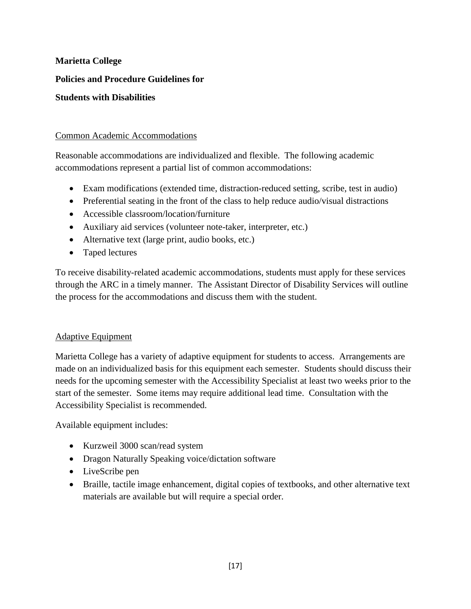**Policies and Procedure Guidelines for**

#### **Students with Disabilities**

#### Common Academic Accommodations

Reasonable accommodations are individualized and flexible. The following academic accommodations represent a partial list of common accommodations:

- Exam modifications (extended time, distraction-reduced setting, scribe, test in audio)
- Preferential seating in the front of the class to help reduce audio/visual distractions
- Accessible classroom/location/furniture
- Auxiliary aid services (volunteer note-taker, interpreter, etc.)
- Alternative text (large print, audio books, etc.)
- Taped lectures

To receive disability-related academic accommodations, students must apply for these services through the ARC in a timely manner. The Assistant Director of Disability Services will outline the process for the accommodations and discuss them with the student.

#### Adaptive Equipment

Marietta College has a variety of adaptive equipment for students to access. Arrangements are made on an individualized basis for this equipment each semester. Students should discuss their needs for the upcoming semester with the Accessibility Specialist at least two weeks prior to the start of the semester. Some items may require additional lead time. Consultation with the Accessibility Specialist is recommended.

Available equipment includes:

- Kurzweil 3000 scan/read system
- Dragon Naturally Speaking voice/dictation software
- LiveScribe pen
- Braille, tactile image enhancement, digital copies of textbooks, and other alternative text materials are available but will require a special order.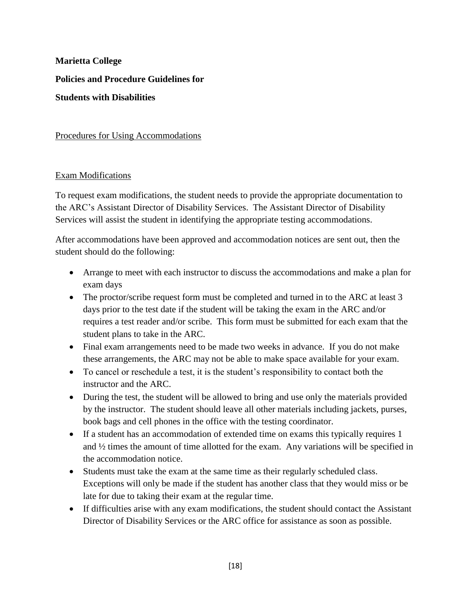Procedures for Using Accommodations

#### Exam Modifications

To request exam modifications, the student needs to provide the appropriate documentation to the ARC's Assistant Director of Disability Services. The Assistant Director of Disability Services will assist the student in identifying the appropriate testing accommodations.

After accommodations have been approved and accommodation notices are sent out, then the student should do the following:

- Arrange to meet with each instructor to discuss the accommodations and make a plan for exam days
- The proctor/scribe request form must be completed and turned in to the ARC at least 3 days prior to the test date if the student will be taking the exam in the ARC and/or requires a test reader and/or scribe. This form must be submitted for each exam that the student plans to take in the ARC.
- Final exam arrangements need to be made two weeks in advance. If you do not make these arrangements, the ARC may not be able to make space available for your exam.
- To cancel or reschedule a test, it is the student's responsibility to contact both the instructor and the ARC.
- During the test, the student will be allowed to bring and use only the materials provided by the instructor. The student should leave all other materials including jackets, purses, book bags and cell phones in the office with the testing coordinator.
- If a student has an accommodation of extended time on exams this typically requires 1 and ½ times the amount of time allotted for the exam. Any variations will be specified in the accommodation notice.
- Students must take the exam at the same time as their regularly scheduled class. Exceptions will only be made if the student has another class that they would miss or be late for due to taking their exam at the regular time.
- If difficulties arise with any exam modifications, the student should contact the Assistant Director of Disability Services or the ARC office for assistance as soon as possible.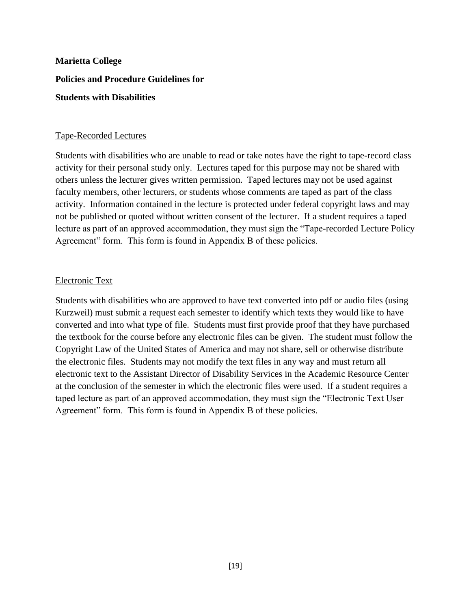#### Tape-Recorded Lectures

Students with disabilities who are unable to read or take notes have the right to tape-record class activity for their personal study only. Lectures taped for this purpose may not be shared with others unless the lecturer gives written permission. Taped lectures may not be used against faculty members, other lecturers, or students whose comments are taped as part of the class activity. Information contained in the lecture is protected under federal copyright laws and may not be published or quoted without written consent of the lecturer. If a student requires a taped lecture as part of an approved accommodation, they must sign the "Tape-recorded Lecture Policy Agreement" form. This form is found in Appendix B of these policies.

#### Electronic Text

Students with disabilities who are approved to have text converted into pdf or audio files (using Kurzweil) must submit a request each semester to identify which texts they would like to have converted and into what type of file. Students must first provide proof that they have purchased the textbook for the course before any electronic files can be given. The student must follow the Copyright Law of the United States of America and may not share, sell or otherwise distribute the electronic files. Students may not modify the text files in any way and must return all electronic text to the Assistant Director of Disability Services in the Academic Resource Center at the conclusion of the semester in which the electronic files were used. If a student requires a taped lecture as part of an approved accommodation, they must sign the "Electronic Text User Agreement" form. This form is found in Appendix B of these policies.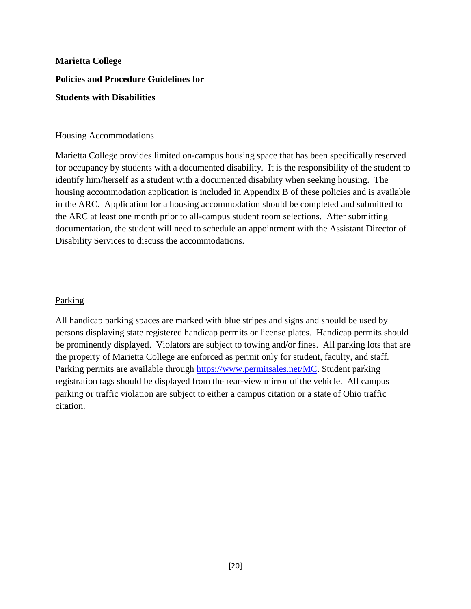#### Housing Accommodations

Marietta College provides limited on-campus housing space that has been specifically reserved for occupancy by students with a documented disability. It is the responsibility of the student to identify him/herself as a student with a documented disability when seeking housing. The housing accommodation application is included in Appendix B of these policies and is available in the ARC. Application for a housing accommodation should be completed and submitted to the ARC at least one month prior to all-campus student room selections. After submitting documentation, the student will need to schedule an appointment with the Assistant Director of Disability Services to discuss the accommodations.

#### Parking

All handicap parking spaces are marked with blue stripes and signs and should be used by persons displaying state registered handicap permits or license plates. Handicap permits should be prominently displayed. Violators are subject to towing and/or fines. All parking lots that are the property of Marietta College are enforced as permit only for student, faculty, and staff. Parking permits are available through [https://www.permitsales.net/MC.](https://www.permitsales.net/MC) Student parking registration tags should be displayed from the rear-view mirror of the vehicle. All campus parking or traffic violation are subject to either a campus citation or a state of Ohio traffic citation.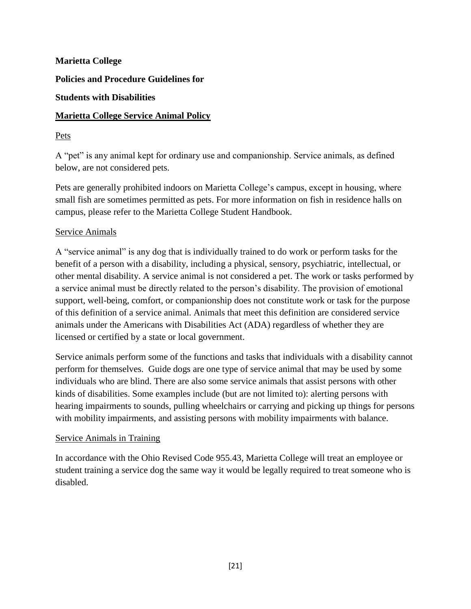**Policies and Procedure Guidelines for**

#### **Students with Disabilities**

#### **Marietta College Service Animal Policy**

#### Pets

A "pet" is any animal kept for ordinary use and companionship. Service animals, as defined below, are not considered pets.

Pets are generally prohibited indoors on Marietta College's campus, except in housing, where small fish are sometimes permitted as pets. For more information on fish in residence halls on campus, please refer to the Marietta College Student Handbook.

#### Service Animals

A "service animal" is any dog that is individually trained to do work or perform tasks for the benefit of a person with a disability, including a physical, sensory, psychiatric, intellectual, or other mental disability. A service animal is not considered a pet. The work or tasks performed by a service animal must be directly related to the person's disability. The provision of emotional support, well-being, comfort, or companionship does not constitute work or task for the purpose of this definition of a service animal. Animals that meet this definition are considered service animals under the Americans with Disabilities Act (ADA) regardless of whether they are licensed or certified by a state or local government.

Service animals perform some of the functions and tasks that individuals with a disability cannot perform for themselves. Guide dogs are one type of service animal that may be used by some individuals who are blind. There are also some service animals that assist persons with other kinds of disabilities. Some examples include (but are not limited to): alerting persons with hearing impairments to sounds, pulling wheelchairs or carrying and picking up things for persons with mobility impairments, and assisting persons with mobility impairments with balance.

#### Service Animals in Training

In accordance with the Ohio Revised Code 955.43, Marietta College will treat an employee or student training a service dog the same way it would be legally required to treat someone who is disabled.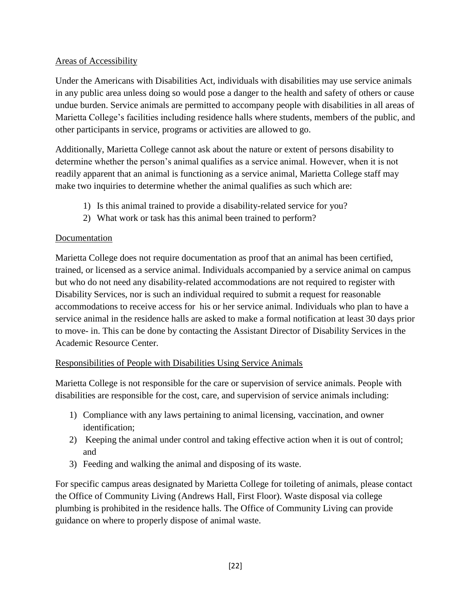#### Areas of Accessibility

Under the Americans with Disabilities Act, individuals with disabilities may use service animals in any public area unless doing so would pose a danger to the health and safety of others or cause undue burden. Service animals are permitted to accompany people with disabilities in all areas of Marietta College's facilities including residence halls where students, members of the public, and other participants in service, programs or activities are allowed to go.

Additionally, Marietta College cannot ask about the nature or extent of persons disability to determine whether the person's animal qualifies as a service animal. However, when it is not readily apparent that an animal is functioning as a service animal, Marietta College staff may make two inquiries to determine whether the animal qualifies as such which are:

- 1) Is this animal trained to provide a disability-related service for you?
- 2) What work or task has this animal been trained to perform?

#### Documentation

Marietta College does not require documentation as proof that an animal has been certified, trained, or licensed as a service animal. Individuals accompanied by a service animal on campus but who do not need any disability-related accommodations are not required to register with Disability Services, nor is such an individual required to submit a request for reasonable accommodations to receive access for his or her service animal. Individuals who plan to have a service animal in the residence halls are asked to make a formal notification at least 30 days prior to move- in. This can be done by contacting the Assistant Director of Disability Services in the Academic Resource Center.

#### Responsibilities of People with Disabilities Using Service Animals

Marietta College is not responsible for the care or supervision of service animals. People with disabilities are responsible for the cost, care, and supervision of service animals including:

- 1) Compliance with any laws pertaining to animal licensing, vaccination, and owner identification;
- 2) Keeping the animal under control and taking effective action when it is out of control; and
- 3) Feeding and walking the animal and disposing of its waste.

For specific campus areas designated by Marietta College for toileting of animals, please contact the Office of Community Living (Andrews Hall, First Floor). Waste disposal via college plumbing is prohibited in the residence halls. The Office of Community Living can provide guidance on where to properly dispose of animal waste.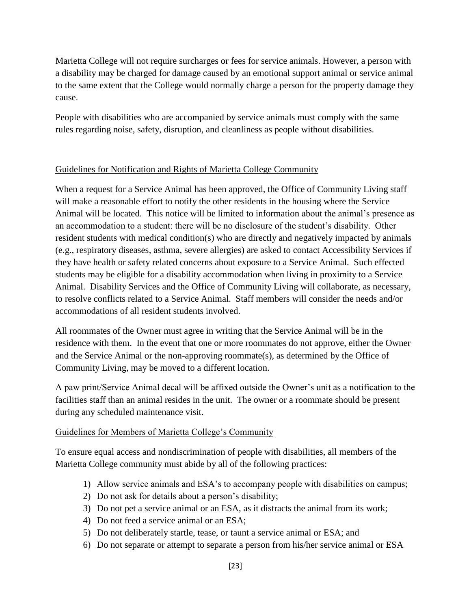Marietta College will not require surcharges or fees for service animals. However, a person with a disability may be charged for damage caused by an emotional support animal or service animal to the same extent that the College would normally charge a person for the property damage they cause.

People with disabilities who are accompanied by service animals must comply with the same rules regarding noise, safety, disruption, and cleanliness as people without disabilities.

#### Guidelines for Notification and Rights of Marietta College Community

When a request for a Service Animal has been approved, the Office of Community Living staff will make a reasonable effort to notify the other residents in the housing where the Service Animal will be located. This notice will be limited to information about the animal's presence as an accommodation to a student: there will be no disclosure of the student's disability. Other resident students with medical condition(s) who are directly and negatively impacted by animals (e.g., respiratory diseases, asthma, severe allergies) are asked to contact Accessibility Services if they have health or safety related concerns about exposure to a Service Animal. Such effected students may be eligible for a disability accommodation when living in proximity to a Service Animal. Disability Services and the Office of Community Living will collaborate, as necessary, to resolve conflicts related to a Service Animal. Staff members will consider the needs and/or accommodations of all resident students involved.

All roommates of the Owner must agree in writing that the Service Animal will be in the residence with them. In the event that one or more roommates do not approve, either the Owner and the Service Animal or the non-approving roommate(s), as determined by the Office of Community Living, may be moved to a different location.

A paw print/Service Animal decal will be affixed outside the Owner's unit as a notification to the facilities staff than an animal resides in the unit. The owner or a roommate should be present during any scheduled maintenance visit.

#### Guidelines for Members of Marietta College's Community

To ensure equal access and nondiscrimination of people with disabilities, all members of the Marietta College community must abide by all of the following practices:

- 1) Allow service animals and ESA's to accompany people with disabilities on campus;
- 2) Do not ask for details about a person's disability;
- 3) Do not pet a service animal or an ESA, as it distracts the animal from its work;
- 4) Do not feed a service animal or an ESA;
- 5) Do not deliberately startle, tease, or taunt a service animal or ESA; and
- 6) Do not separate or attempt to separate a person from his/her service animal or ESA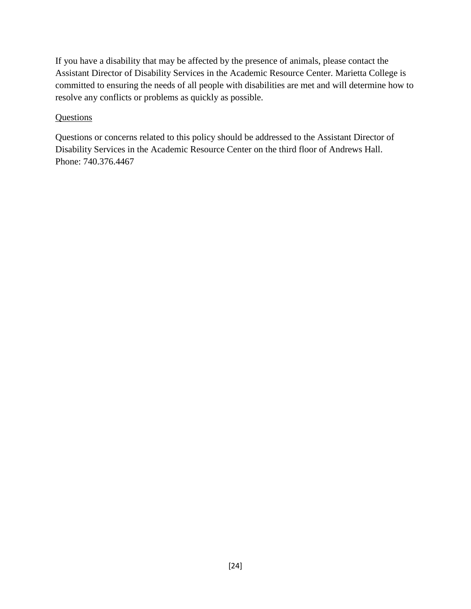If you have a disability that may be affected by the presence of animals, please contact the Assistant Director of Disability Services in the Academic Resource Center. Marietta College is committed to ensuring the needs of all people with disabilities are met and will determine how to resolve any conflicts or problems as quickly as possible.

#### **Questions**

Questions or concerns related to this policy should be addressed to the Assistant Director of Disability Services in the Academic Resource Center on the third floor of Andrews Hall. Phone: 740.376.4467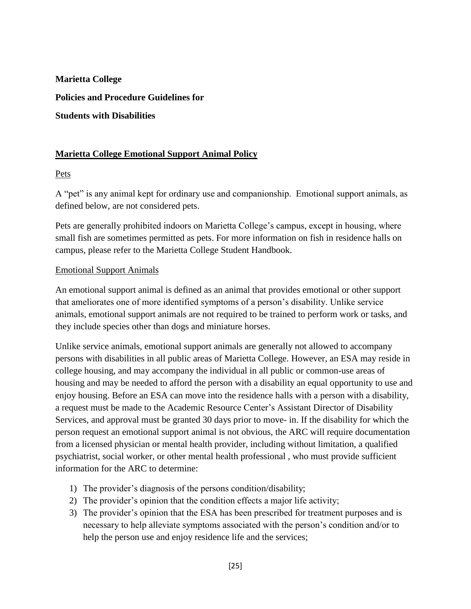#### **Marietta College Emotional Support Animal Policy**

Pets

A "pet" is any animal kept for ordinary use and companionship. Emotional support animals, as defined below, are not considered pets.

Pets are generally prohibited indoors on Marietta College's campus, except in housing, where small fish are sometimes permitted as pets. For more information on fish in residence halls on campus, please refer to the Marietta College Student Handbook.

#### Emotional Support Animals

An emotional support animal is defined as an animal that provides emotional or other support that ameliorates one of more identified symptoms of a person's disability. Unlike service animals, emotional support animals are not required to be trained to perform work or tasks, and they include species other than dogs and miniature horses.

Unlike service animals, emotional support animals are generally not allowed to accompany persons with disabilities in all public areas of Marietta College. However, an ESA may reside in college housing, and may accompany the individual in all public or common-use areas of housing and may be needed to afford the person with a disability an equal opportunity to use and enjoy housing. Before an ESA can move into the residence halls with a person with a disability, a request must be made to the Academic Resource Center's Assistant Director of Disability Services, and approval must be granted 30 days prior to move- in. If the disability for which the person request an emotional support animal is not obvious, the ARC will require documentation from a licensed physician or mental health provider, including without limitation, a qualified psychiatrist, social worker, or other mental health professional , who must provide sufficient information for the ARC to determine:

- 1) The provider's diagnosis of the persons condition/disability;
- 2) The provider's opinion that the condition effects a major life activity;
- 3) The provider's opinion that the ESA has been prescribed for treatment purposes and is necessary to help alleviate symptoms associated with the person's condition and/or to help the person use and enjoy residence life and the services;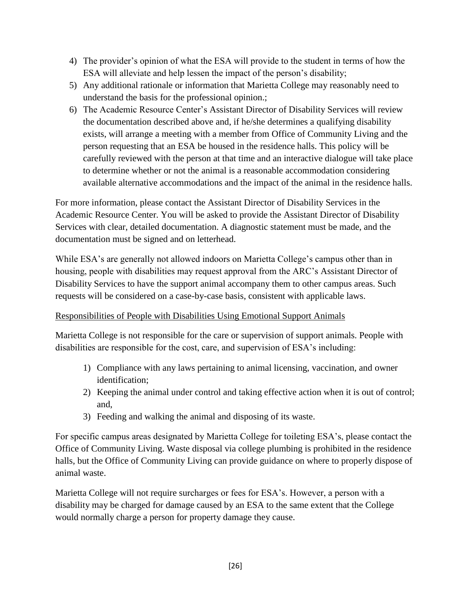- 4) The provider's opinion of what the ESA will provide to the student in terms of how the ESA will alleviate and help lessen the impact of the person's disability;
- 5) Any additional rationale or information that Marietta College may reasonably need to understand the basis for the professional opinion.;
- 6) The Academic Resource Center's Assistant Director of Disability Services will review the documentation described above and, if he/she determines a qualifying disability exists, will arrange a meeting with a member from Office of Community Living and the person requesting that an ESA be housed in the residence halls. This policy will be carefully reviewed with the person at that time and an interactive dialogue will take place to determine whether or not the animal is a reasonable accommodation considering available alternative accommodations and the impact of the animal in the residence halls.

For more information, please contact the Assistant Director of Disability Services in the Academic Resource Center. You will be asked to provide the Assistant Director of Disability Services with clear, detailed documentation. A diagnostic statement must be made, and the documentation must be signed and on letterhead.

While ESA's are generally not allowed indoors on Marietta College's campus other than in housing, people with disabilities may request approval from the ARC's Assistant Director of Disability Services to have the support animal accompany them to other campus areas. Such requests will be considered on a case-by-case basis, consistent with applicable laws.

#### Responsibilities of People with Disabilities Using Emotional Support Animals

Marietta College is not responsible for the care or supervision of support animals. People with disabilities are responsible for the cost, care, and supervision of ESA's including:

- 1) Compliance with any laws pertaining to animal licensing, vaccination, and owner identification;
- 2) Keeping the animal under control and taking effective action when it is out of control; and,
- 3) Feeding and walking the animal and disposing of its waste.

For specific campus areas designated by Marietta College for toileting ESA's, please contact the Office of Community Living. Waste disposal via college plumbing is prohibited in the residence halls, but the Office of Community Living can provide guidance on where to properly dispose of animal waste.

Marietta College will not require surcharges or fees for ESA's. However, a person with a disability may be charged for damage caused by an ESA to the same extent that the College would normally charge a person for property damage they cause.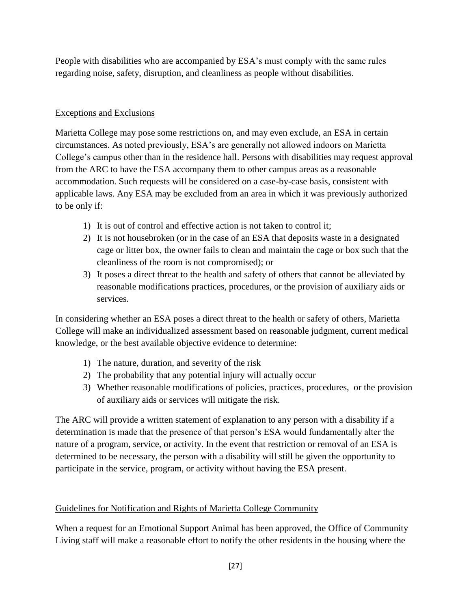People with disabilities who are accompanied by ESA's must comply with the same rules regarding noise, safety, disruption, and cleanliness as people without disabilities.

#### Exceptions and Exclusions

Marietta College may pose some restrictions on, and may even exclude, an ESA in certain circumstances. As noted previously, ESA's are generally not allowed indoors on Marietta College's campus other than in the residence hall. Persons with disabilities may request approval from the ARC to have the ESA accompany them to other campus areas as a reasonable accommodation. Such requests will be considered on a case-by-case basis, consistent with applicable laws. Any ESA may be excluded from an area in which it was previously authorized to be only if:

- 1) It is out of control and effective action is not taken to control it;
- 2) It is not housebroken (or in the case of an ESA that deposits waste in a designated cage or litter box, the owner fails to clean and maintain the cage or box such that the cleanliness of the room is not compromised); or
- 3) It poses a direct threat to the health and safety of others that cannot be alleviated by reasonable modifications practices, procedures, or the provision of auxiliary aids or services.

In considering whether an ESA poses a direct threat to the health or safety of others, Marietta College will make an individualized assessment based on reasonable judgment, current medical knowledge, or the best available objective evidence to determine:

- 1) The nature, duration, and severity of the risk
- 2) The probability that any potential injury will actually occur
- 3) Whether reasonable modifications of policies, practices, procedures, or the provision of auxiliary aids or services will mitigate the risk.

The ARC will provide a written statement of explanation to any person with a disability if a determination is made that the presence of that person's ESA would fundamentally alter the nature of a program, service, or activity. In the event that restriction or removal of an ESA is determined to be necessary, the person with a disability will still be given the opportunity to participate in the service, program, or activity without having the ESA present.

#### Guidelines for Notification and Rights of Marietta College Community

When a request for an Emotional Support Animal has been approved, the Office of Community Living staff will make a reasonable effort to notify the other residents in the housing where the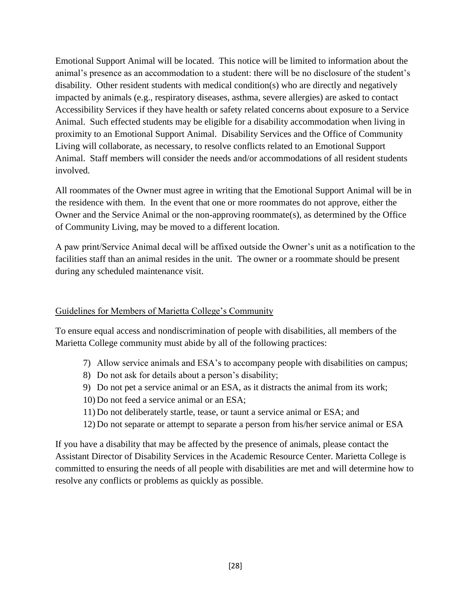Emotional Support Animal will be located. This notice will be limited to information about the animal's presence as an accommodation to a student: there will be no disclosure of the student's disability. Other resident students with medical condition(s) who are directly and negatively impacted by animals (e.g., respiratory diseases, asthma, severe allergies) are asked to contact Accessibility Services if they have health or safety related concerns about exposure to a Service Animal. Such effected students may be eligible for a disability accommodation when living in proximity to an Emotional Support Animal. Disability Services and the Office of Community Living will collaborate, as necessary, to resolve conflicts related to an Emotional Support Animal. Staff members will consider the needs and/or accommodations of all resident students involved.

All roommates of the Owner must agree in writing that the Emotional Support Animal will be in the residence with them. In the event that one or more roommates do not approve, either the Owner and the Service Animal or the non-approving roommate(s), as determined by the Office of Community Living, may be moved to a different location.

A paw print/Service Animal decal will be affixed outside the Owner's unit as a notification to the facilities staff than an animal resides in the unit. The owner or a roommate should be present during any scheduled maintenance visit.

#### Guidelines for Members of Marietta College's Community

To ensure equal access and nondiscrimination of people with disabilities, all members of the Marietta College community must abide by all of the following practices:

- 7) Allow service animals and ESA's to accompany people with disabilities on campus;
- 8) Do not ask for details about a person's disability;
- 9) Do not pet a service animal or an ESA, as it distracts the animal from its work;
- 10) Do not feed a service animal or an ESA;
- 11) Do not deliberately startle, tease, or taunt a service animal or ESA; and
- 12) Do not separate or attempt to separate a person from his/her service animal or ESA

If you have a disability that may be affected by the presence of animals, please contact the Assistant Director of Disability Services in the Academic Resource Center. Marietta College is committed to ensuring the needs of all people with disabilities are met and will determine how to resolve any conflicts or problems as quickly as possible.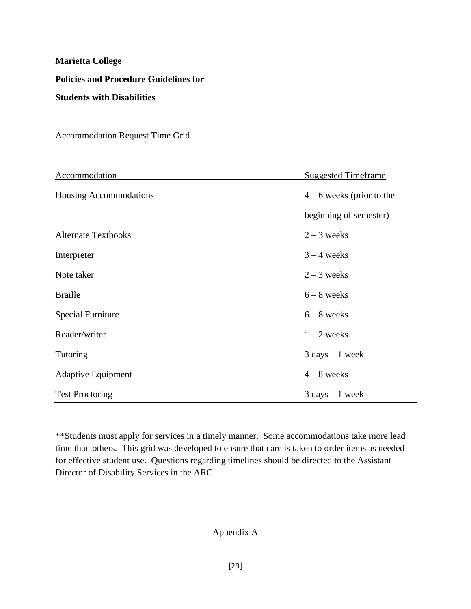#### Accommodation Request Time Grid

| Accommodation              | <b>Suggested Timeframe</b>        |
|----------------------------|-----------------------------------|
| Housing Accommodations     | $4 - 6$ weeks (prior to the       |
|                            | beginning of semester)            |
| <b>Alternate Textbooks</b> | $2 - 3$ weeks                     |
| Interpreter                | $3 - 4$ weeks                     |
| Note taker                 | $2 - 3$ weeks                     |
| <b>Braille</b>             | $6 - 8$ weeks                     |
| <b>Special Furniture</b>   | $6 - 8$ weeks                     |
| Reader/writer              | $1 - 2$ weeks                     |
| Tutoring                   | $3 \text{ days} - 1 \text{ week}$ |
| <b>Adaptive Equipment</b>  | $4 - 8$ weeks                     |
| <b>Test Proctoring</b>     | $3 \text{ days} - 1 \text{ week}$ |

\*\*Students must apply for services in a timely manner. Some accommodations take more lead time than others. This grid was developed to ensure that care is taken to order items as needed for effective student use. Questions regarding timelines should be directed to the Assistant Director of Disability Services in the ARC.

#### Appendix A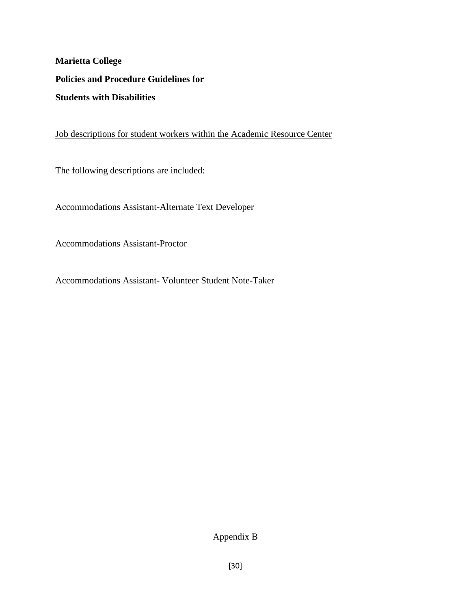Job descriptions for student workers within the Academic Resource Center

The following descriptions are included:

Accommodations Assistant-Alternate Text Developer

Accommodations Assistant-Proctor

Accommodations Assistant- Volunteer Student Note-Taker

Appendix B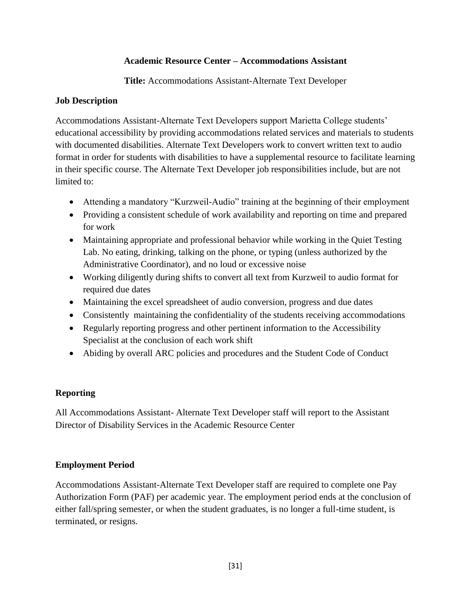#### **Academic Resource Center – Accommodations Assistant**

**Title:** Accommodations Assistant-Alternate Text Developer

#### **Job Description**

Accommodations Assistant-Alternate Text Developers support Marietta College students' educational accessibility by providing accommodations related services and materials to students with documented disabilities. Alternate Text Developers work to convert written text to audio format in order for students with disabilities to have a supplemental resource to facilitate learning in their specific course. The Alternate Text Developer job responsibilities include, but are not limited to:

- Attending a mandatory "Kurzweil-Audio" training at the beginning of their employment
- Providing a consistent schedule of work availability and reporting on time and prepared for work
- Maintaining appropriate and professional behavior while working in the Quiet Testing Lab. No eating, drinking, talking on the phone, or typing (unless authorized by the Administrative Coordinator), and no loud or excessive noise
- Working diligently during shifts to convert all text from Kurzweil to audio format for required due dates
- Maintaining the excel spreadsheet of audio conversion, progress and due dates
- Consistently maintaining the confidentiality of the students receiving accommodations
- Regularly reporting progress and other pertinent information to the Accessibility Specialist at the conclusion of each work shift
- Abiding by overall ARC policies and procedures and the Student Code of Conduct

#### **Reporting**

All Accommodations Assistant- Alternate Text Developer staff will report to the Assistant Director of Disability Services in the Academic Resource Center

#### **Employment Period**

Accommodations Assistant-Alternate Text Developer staff are required to complete one Pay Authorization Form (PAF) per academic year. The employment period ends at the conclusion of either fall/spring semester, or when the student graduates, is no longer a full-time student, is terminated, or resigns.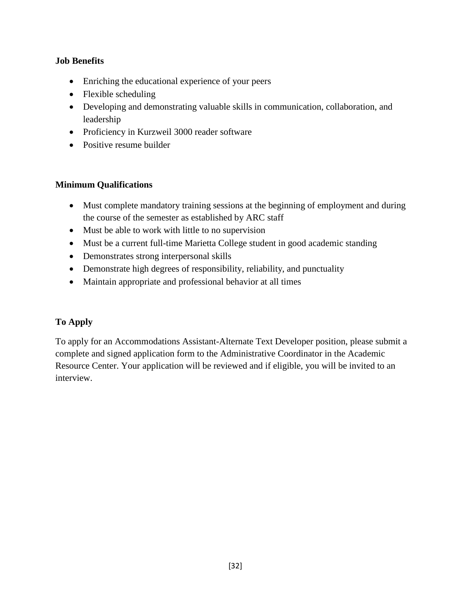#### **Job Benefits**

- Enriching the educational experience of your peers
- Flexible scheduling
- Developing and demonstrating valuable skills in communication, collaboration, and leadership
- Proficiency in Kurzweil 3000 reader software
- Positive resume builder

#### **Minimum Qualifications**

- Must complete mandatory training sessions at the beginning of employment and during the course of the semester as established by ARC staff
- Must be able to work with little to no supervision
- Must be a current full-time Marietta College student in good academic standing
- Demonstrates strong interpersonal skills
- Demonstrate high degrees of responsibility, reliability, and punctuality
- Maintain appropriate and professional behavior at all times

#### **To Apply**

To apply for an Accommodations Assistant-Alternate Text Developer position, please submit a complete and signed application form to the Administrative Coordinator in the Academic Resource Center. Your application will be reviewed and if eligible, you will be invited to an interview.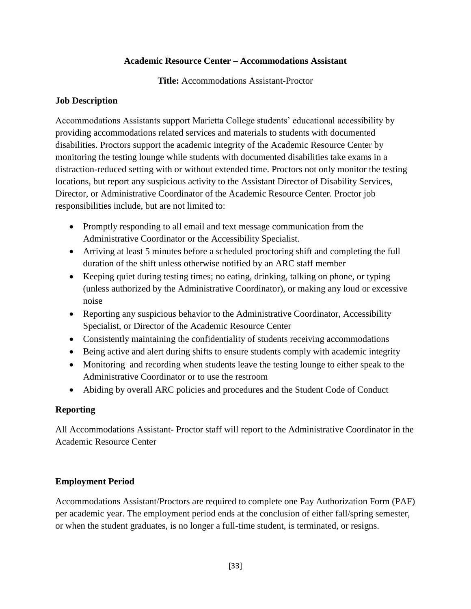#### **Academic Resource Center – Accommodations Assistant**

**Title:** Accommodations Assistant-Proctor

#### **Job Description**

Accommodations Assistants support Marietta College students' educational accessibility by providing accommodations related services and materials to students with documented disabilities. Proctors support the academic integrity of the Academic Resource Center by monitoring the testing lounge while students with documented disabilities take exams in a distraction-reduced setting with or without extended time. Proctors not only monitor the testing locations, but report any suspicious activity to the Assistant Director of Disability Services, Director, or Administrative Coordinator of the Academic Resource Center. Proctor job responsibilities include, but are not limited to:

- Promptly responding to all email and text message communication from the Administrative Coordinator or the Accessibility Specialist.
- Arriving at least 5 minutes before a scheduled proctoring shift and completing the full duration of the shift unless otherwise notified by an ARC staff member
- Keeping quiet during testing times; no eating, drinking, talking on phone, or typing (unless authorized by the Administrative Coordinator), or making any loud or excessive noise
- Reporting any suspicious behavior to the Administrative Coordinator, Accessibility Specialist, or Director of the Academic Resource Center
- Consistently maintaining the confidentiality of students receiving accommodations
- Being active and alert during shifts to ensure students comply with academic integrity
- Monitoring and recording when students leave the testing lounge to either speak to the Administrative Coordinator or to use the restroom
- Abiding by overall ARC policies and procedures and the Student Code of Conduct

#### **Reporting**

All Accommodations Assistant- Proctor staff will report to the Administrative Coordinator in the Academic Resource Center

#### **Employment Period**

Accommodations Assistant/Proctors are required to complete one Pay Authorization Form (PAF) per academic year. The employment period ends at the conclusion of either fall/spring semester, or when the student graduates, is no longer a full-time student, is terminated, or resigns.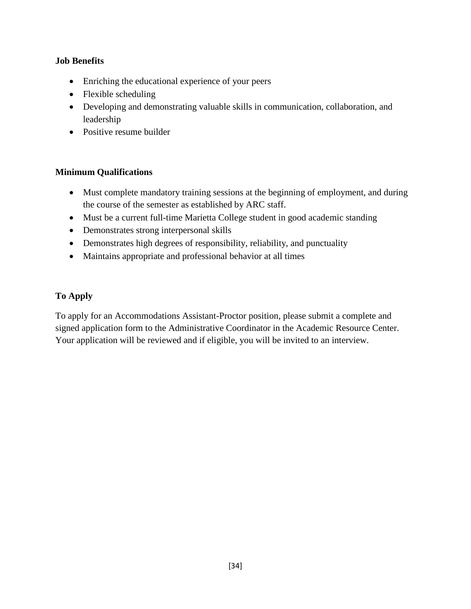#### **Job Benefits**

- Enriching the educational experience of your peers
- Flexible scheduling
- Developing and demonstrating valuable skills in communication, collaboration, and leadership
- Positive resume builder

#### **Minimum Qualifications**

- Must complete mandatory training sessions at the beginning of employment, and during the course of the semester as established by ARC staff.
- Must be a current full-time Marietta College student in good academic standing
- Demonstrates strong interpersonal skills
- Demonstrates high degrees of responsibility, reliability, and punctuality
- Maintains appropriate and professional behavior at all times

#### **To Apply**

To apply for an Accommodations Assistant-Proctor position, please submit a complete and signed application form to the Administrative Coordinator in the Academic Resource Center. Your application will be reviewed and if eligible, you will be invited to an interview.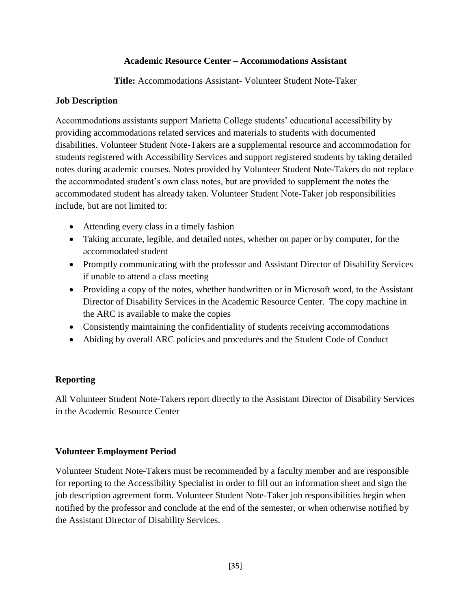#### **Academic Resource Center – Accommodations Assistant**

**Title:** Accommodations Assistant- Volunteer Student Note-Taker

#### **Job Description**

Accommodations assistants support Marietta College students' educational accessibility by providing accommodations related services and materials to students with documented disabilities. Volunteer Student Note-Takers are a supplemental resource and accommodation for students registered with Accessibility Services and support registered students by taking detailed notes during academic courses. Notes provided by Volunteer Student Note-Takers do not replace the accommodated student's own class notes, but are provided to supplement the notes the accommodated student has already taken. Volunteer Student Note-Taker job responsibilities include, but are not limited to:

- Attending every class in a timely fashion
- Taking accurate, legible, and detailed notes, whether on paper or by computer, for the accommodated student
- Promptly communicating with the professor and Assistant Director of Disability Services if unable to attend a class meeting
- Providing a copy of the notes, whether handwritten or in Microsoft word, to the Assistant Director of Disability Services in the Academic Resource Center. The copy machine in the ARC is available to make the copies
- Consistently maintaining the confidentiality of students receiving accommodations
- Abiding by overall ARC policies and procedures and the Student Code of Conduct

#### **Reporting**

All Volunteer Student Note-Takers report directly to the Assistant Director of Disability Services in the Academic Resource Center

#### **Volunteer Employment Period**

Volunteer Student Note-Takers must be recommended by a faculty member and are responsible for reporting to the Accessibility Specialist in order to fill out an information sheet and sign the job description agreement form. Volunteer Student Note-Taker job responsibilities begin when notified by the professor and conclude at the end of the semester, or when otherwise notified by the Assistant Director of Disability Services.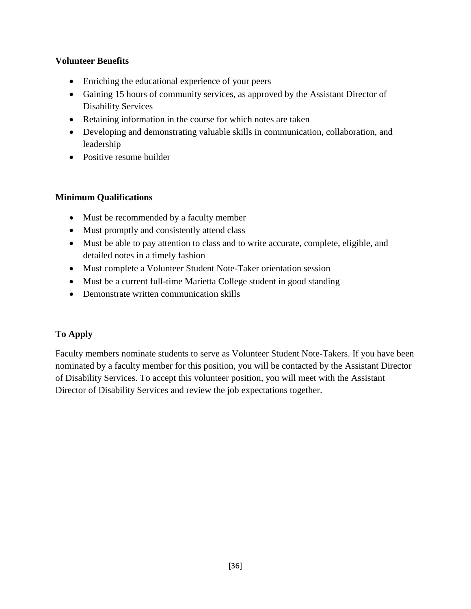#### **Volunteer Benefits**

- Enriching the educational experience of your peers
- Gaining 15 hours of community services, as approved by the Assistant Director of Disability Services
- Retaining information in the course for which notes are taken
- Developing and demonstrating valuable skills in communication, collaboration, and leadership
- Positive resume builder

#### **Minimum Qualifications**

- Must be recommended by a faculty member
- Must promptly and consistently attend class
- Must be able to pay attention to class and to write accurate, complete, eligible, and detailed notes in a timely fashion
- Must complete a Volunteer Student Note-Taker orientation session
- Must be a current full-time Marietta College student in good standing
- Demonstrate written communication skills

#### **To Apply**

Faculty members nominate students to serve as Volunteer Student Note-Takers. If you have been nominated by a faculty member for this position, you will be contacted by the Assistant Director of Disability Services. To accept this volunteer position, you will meet with the Assistant Director of Disability Services and review the job expectations together.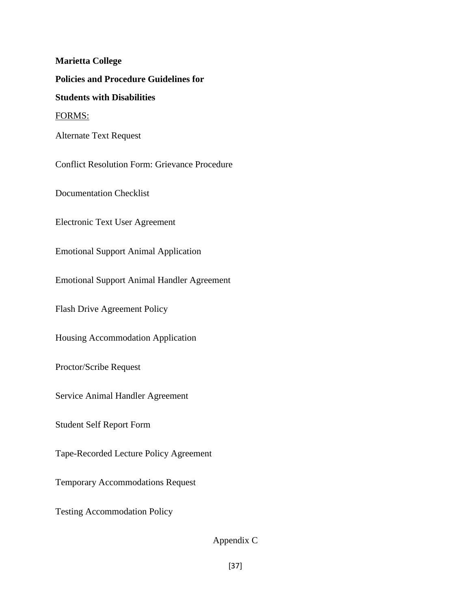**Marietta College Policies and Procedure Guidelines for Students with Disabilities** FORMS: Alternate Text Request Conflict Resolution Form: Grievance Procedure Documentation Checklist Electronic Text User Agreement Emotional Support Animal Application Emotional Support Animal Handler Agreement Flash Drive Agreement Policy Housing Accommodation Application Proctor/Scribe Request Service Animal Handler Agreement Student Self Report Form Tape-Recorded Lecture Policy Agreement Temporary Accommodations Request Testing Accommodation Policy

Appendix C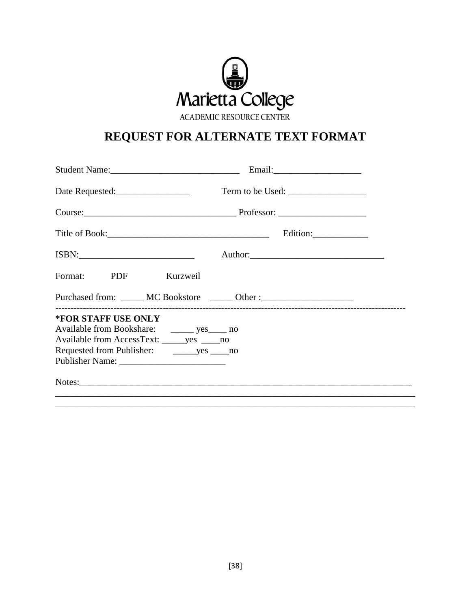

# REQUEST FOR ALTERNATE TEXT FORMAT

|                                                                                                                             |  | Term to be Used:        |  |
|-----------------------------------------------------------------------------------------------------------------------------|--|-------------------------|--|
|                                                                                                                             |  |                         |  |
|                                                                                                                             |  | Edition:_______________ |  |
|                                                                                                                             |  |                         |  |
| Format: PDF Kurzweil                                                                                                        |  |                         |  |
| Purchased from: ______ MC Bookstore ______ Other :______________________________                                            |  |                         |  |
| *FOR STAFF USE ONLY<br>Available from Bookshare: _________ yes______ no<br>Available from AccessText: _______ yes ______ no |  |                         |  |
|                                                                                                                             |  |                         |  |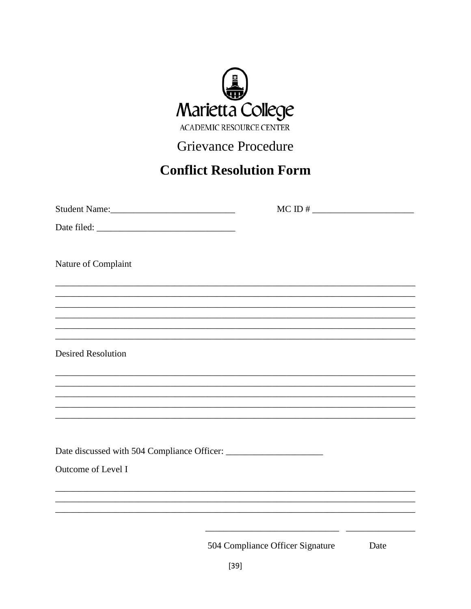

# **Grievance Procedure**

# **Conflict Resolution Form**

| Student Name:             | $MCID$ #                                                                                                       |      |
|---------------------------|----------------------------------------------------------------------------------------------------------------|------|
|                           |                                                                                                                |      |
| Nature of Complaint       |                                                                                                                |      |
|                           |                                                                                                                |      |
|                           |                                                                                                                |      |
|                           |                                                                                                                |      |
|                           |                                                                                                                |      |
| <b>Desired Resolution</b> |                                                                                                                |      |
|                           |                                                                                                                |      |
|                           |                                                                                                                |      |
|                           |                                                                                                                |      |
|                           |                                                                                                                |      |
|                           |                                                                                                                |      |
| Outcome of Level I        |                                                                                                                |      |
|                           |                                                                                                                |      |
|                           |                                                                                                                |      |
|                           | the control of the control of the control of the control of the control of<br>504 Compliance Officer Signature | Date |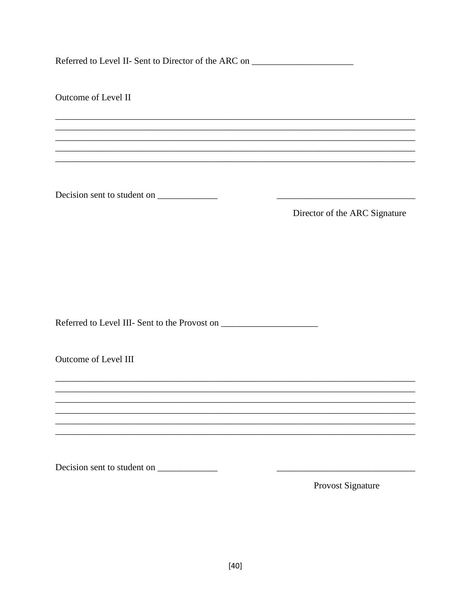Referred to Level II- Sent to Director of the ARC on \_\_\_\_\_\_\_\_\_\_\_\_\_\_\_\_\_\_\_\_\_\_\_\_\_\_\_\_

Outcome of Level II Director of the ARC Signature Outcome of Level III Decision sent to student on Provost Signature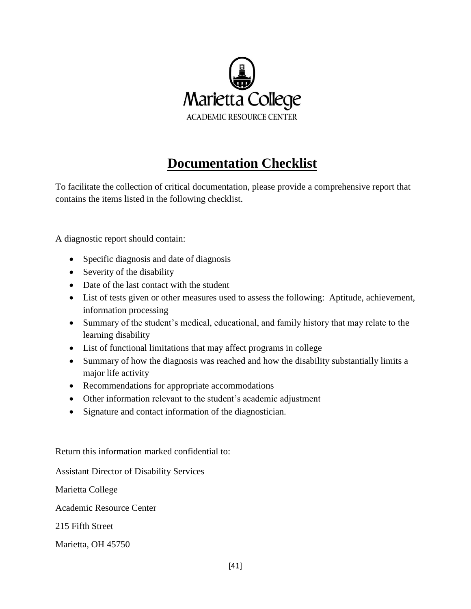

# **Documentation Checklist**

To facilitate the collection of critical documentation, please provide a comprehensive report that contains the items listed in the following checklist.

A diagnostic report should contain:

- Specific diagnosis and date of diagnosis
- Severity of the disability
- Date of the last contact with the student
- List of tests given or other measures used to assess the following: Aptitude, achievement, information processing
- Summary of the student's medical, educational, and family history that may relate to the learning disability
- List of functional limitations that may affect programs in college
- Summary of how the diagnosis was reached and how the disability substantially limits a major life activity
- Recommendations for appropriate accommodations
- Other information relevant to the student's academic adjustment
- Signature and contact information of the diagnostician.

Return this information marked confidential to:

Assistant Director of Disability Services

Marietta College

Academic Resource Center

215 Fifth Street

Marietta, OH 45750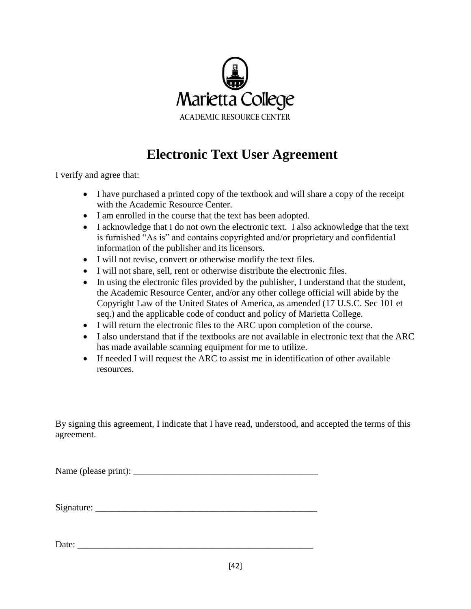

# **Electronic Text User Agreement**

I verify and agree that:

- I have purchased a printed copy of the textbook and will share a copy of the receipt with the Academic Resource Center.
- I am enrolled in the course that the text has been adopted.
- I acknowledge that I do not own the electronic text. I also acknowledge that the text is furnished "As is" and contains copyrighted and/or proprietary and confidential information of the publisher and its licensors.
- I will not revise, convert or otherwise modify the text files.
- I will not share, sell, rent or otherwise distribute the electronic files.
- In using the electronic files provided by the publisher, I understand that the student, the Academic Resource Center, and/or any other college official will abide by the Copyright Law of the United States of America, as amended (17 U.S.C. Sec 101 et seq.) and the applicable code of conduct and policy of Marietta College.
- I will return the electronic files to the ARC upon completion of the course.
- I also understand that if the textbooks are not available in electronic text that the ARC has made available scanning equipment for me to utilize.
- If needed I will request the ARC to assist me in identification of other available resources.

By signing this agreement, I indicate that I have read, understood, and accepted the terms of this agreement.

Name (please print): \_\_\_\_\_\_\_\_\_\_\_\_\_\_\_\_\_\_\_\_\_\_\_\_\_\_\_\_\_\_\_\_\_\_\_\_\_\_\_\_

Signature: \_\_\_\_\_\_\_\_\_\_\_\_\_\_\_\_\_\_\_\_\_\_\_\_\_\_\_\_\_\_\_\_\_\_\_\_\_\_\_\_\_\_\_\_\_\_\_\_

Date: \_\_\_\_\_\_\_\_\_\_\_\_\_\_\_\_\_\_\_\_\_\_\_\_\_\_\_\_\_\_\_\_\_\_\_\_\_\_\_\_\_\_\_\_\_\_\_\_\_\_\_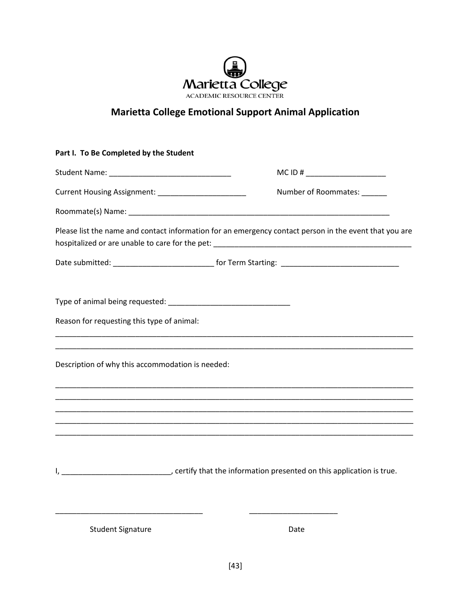

### **Marietta College Emotional Support Animal Application**

| Part I. To Be Completed by the Student                                                                  |                                                                                                        |
|---------------------------------------------------------------------------------------------------------|--------------------------------------------------------------------------------------------------------|
|                                                                                                         | MC ID # $\_$                                                                                           |
| Current Housing Assignment: ___________________________                                                 | Number of Roommates:                                                                                   |
|                                                                                                         |                                                                                                        |
|                                                                                                         | Please list the name and contact information for an emergency contact person in the event that you are |
| Date submitted: ________________________________ for Term Starting: ________________________________    |                                                                                                        |
|                                                                                                         |                                                                                                        |
|                                                                                                         |                                                                                                        |
| Reason for requesting this type of animal:                                                              |                                                                                                        |
|                                                                                                         | <u> 1989 - Johann Stoff, amerikansk politiker (d. 1989)</u>                                            |
| Description of why this accommodation is needed:                                                        |                                                                                                        |
|                                                                                                         |                                                                                                        |
|                                                                                                         |                                                                                                        |
|                                                                                                         |                                                                                                        |
|                                                                                                         |                                                                                                        |
| I, _______________________________, certify that the information presented on this application is true. |                                                                                                        |

Student Signature Date

\_\_\_\_\_\_\_\_\_\_\_\_\_\_\_\_\_\_\_\_\_\_\_\_\_\_\_\_\_\_\_\_\_\_\_ \_\_\_\_\_\_\_\_\_\_\_\_\_\_\_\_\_\_\_\_\_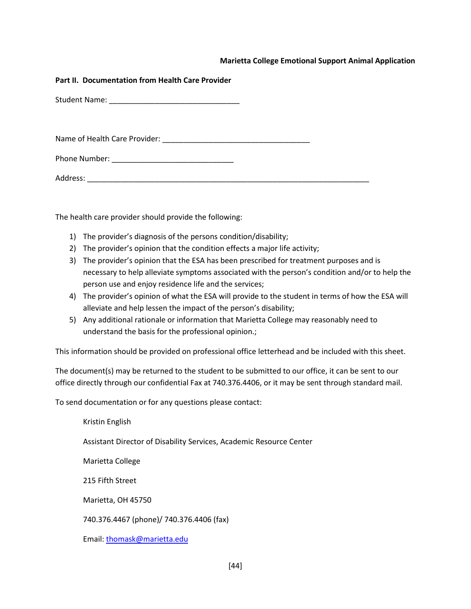#### **Marietta College Emotional Support Animal Application**

#### **Part II. Documentation from Health Care Provider**

Student Name: \_\_\_\_\_\_\_\_\_\_\_\_\_\_\_\_\_\_\_\_\_\_\_\_\_\_\_\_\_\_\_

Name of Health Care Provider: \_\_\_\_\_\_\_\_\_\_\_\_\_\_\_\_\_\_\_\_\_\_\_\_\_\_\_\_\_\_\_\_\_\_\_

Phone Number: \_\_\_\_\_\_\_\_\_\_\_\_\_\_\_\_\_\_\_\_\_\_\_\_\_\_\_\_\_

Address: \_\_\_\_\_\_\_\_\_\_\_\_\_\_\_\_\_\_\_\_\_\_\_\_\_\_\_\_\_\_\_\_\_\_\_\_\_\_\_\_\_\_\_\_\_\_\_\_\_\_\_\_\_\_\_\_\_\_\_\_\_\_\_\_\_\_\_

The health care provider should provide the following:

- 1) The provider's diagnosis of the persons condition/disability;
- 2) The provider's opinion that the condition effects a major life activity;
- 3) The provider's opinion that the ESA has been prescribed for treatment purposes and is necessary to help alleviate symptoms associated with the person's condition and/or to help the person use and enjoy residence life and the services;
- 4) The provider's opinion of what the ESA will provide to the student in terms of how the ESA will alleviate and help lessen the impact of the person's disability;
- 5) Any additional rationale or information that Marietta College may reasonably need to understand the basis for the professional opinion.;

This information should be provided on professional office letterhead and be included with this sheet.

The document(s) may be returned to the student to be submitted to our office, it can be sent to our office directly through our confidential Fax at 740.376.4406, or it may be sent through standard mail.

To send documentation or for any questions please contact:

Kristin English Assistant Director of Disability Services, Academic Resource Center Marietta College 215 Fifth Street Marietta, OH 45750 740.376.4467 (phone)/ 740.376.4406 (fax) Email: [thomask@marietta.edu](mailto:thomask@marietta.edu)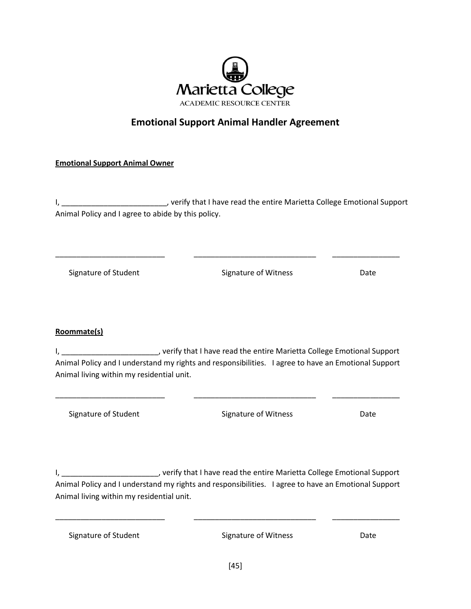

#### **Emotional Support Animal Handler Agreement**

#### **Emotional Support Animal Owner**

I, \_\_\_\_\_\_\_\_\_\_\_\_\_\_\_\_\_\_\_\_\_\_\_\_\_\_\_, verify that I have read the entire Marietta College Emotional Support Animal Policy and I agree to abide by this policy.

\_\_\_\_\_\_\_\_\_\_\_\_\_\_\_\_\_\_\_\_\_\_\_\_\_\_ \_\_\_\_\_\_\_\_\_\_\_\_\_\_\_\_\_\_\_\_\_\_\_\_\_\_\_\_\_ \_\_\_\_\_\_\_\_\_\_\_\_\_\_\_\_

Signature of Student The Signature of Witness The Date

#### **Roommate(s)**

I, \_\_\_\_\_\_\_\_\_\_\_\_\_\_\_\_\_\_\_\_\_\_\_\_, verify that I have read the entire Marietta College Emotional Support Animal Policy and I understand my rights and responsibilities. I agree to have an Emotional Support Animal living within my residential unit.

\_\_\_\_\_\_\_\_\_\_\_\_\_\_\_\_\_\_\_\_\_\_\_\_\_\_ \_\_\_\_\_\_\_\_\_\_\_\_\_\_\_\_\_\_\_\_\_\_\_\_\_\_\_\_\_ \_\_\_\_\_\_\_\_\_\_\_\_\_\_\_\_

Signature of Student The Signature of Witness Date

I, \_\_\_\_\_\_\_\_\_\_\_\_\_\_\_\_\_\_\_\_\_\_\_\_\_, verify that I have read the entire Marietta College Emotional Support Animal Policy and I understand my rights and responsibilities. I agree to have an Emotional Support Animal living within my residential unit.

\_\_\_\_\_\_\_\_\_\_\_\_\_\_\_\_\_\_\_\_\_\_\_\_\_\_ \_\_\_\_\_\_\_\_\_\_\_\_\_\_\_\_\_\_\_\_\_\_\_\_\_\_\_\_\_ \_\_\_\_\_\_\_\_\_\_\_\_\_\_\_\_

Signature of Student The Signature of Witness Date Date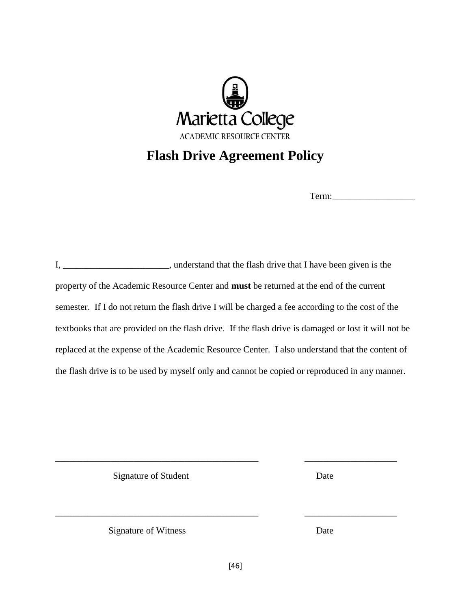

### **Flash Drive Agreement Policy**

Term:

I, \_\_\_\_\_\_\_\_\_\_\_\_\_\_\_\_\_\_\_\_\_\_\_, understand that the flash drive that I have been given is the property of the Academic Resource Center and **must** be returned at the end of the current semester. If I do not return the flash drive I will be charged a fee according to the cost of the textbooks that are provided on the flash drive. If the flash drive is damaged or lost it will not be replaced at the expense of the Academic Resource Center. I also understand that the content of the flash drive is to be used by myself only and cannot be copied or reproduced in any manner.

Signature of Student Date

Signature of Witness Date

\_\_\_\_\_\_\_\_\_\_\_\_\_\_\_\_\_\_\_\_\_\_\_\_\_\_\_\_\_\_\_\_\_\_\_\_\_\_\_\_\_\_\_\_ \_\_\_\_\_\_\_\_\_\_\_\_\_\_\_\_\_\_\_\_

\_\_\_\_\_\_\_\_\_\_\_\_\_\_\_\_\_\_\_\_\_\_\_\_\_\_\_\_\_\_\_\_\_\_\_\_\_\_\_\_\_\_\_\_ \_\_\_\_\_\_\_\_\_\_\_\_\_\_\_\_\_\_\_\_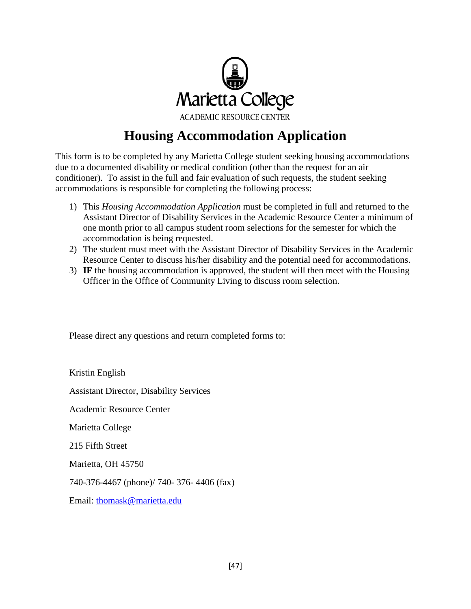

# **Housing Accommodation Application**

This form is to be completed by any Marietta College student seeking housing accommodations due to a documented disability or medical condition (other than the request for an air conditioner). To assist in the full and fair evaluation of such requests, the student seeking accommodations is responsible for completing the following process:

- 1) This *Housing Accommodation Application* must be completed in full and returned to the Assistant Director of Disability Services in the Academic Resource Center a minimum of one month prior to all campus student room selections for the semester for which the accommodation is being requested.
- 2) The student must meet with the Assistant Director of Disability Services in the Academic Resource Center to discuss his/her disability and the potential need for accommodations.
- 3) **IF** the housing accommodation is approved, the student will then meet with the Housing Officer in the Office of Community Living to discuss room selection.

Please direct any questions and return completed forms to:

Kristin English Assistant Director, Disability Services Academic Resource Center Marietta College 215 Fifth Street Marietta, OH 45750 740-376-4467 (phone)/ 740- 376- 4406 (fax) Email: [thomask@marietta.edu](mailto:thomask@marietta.edu)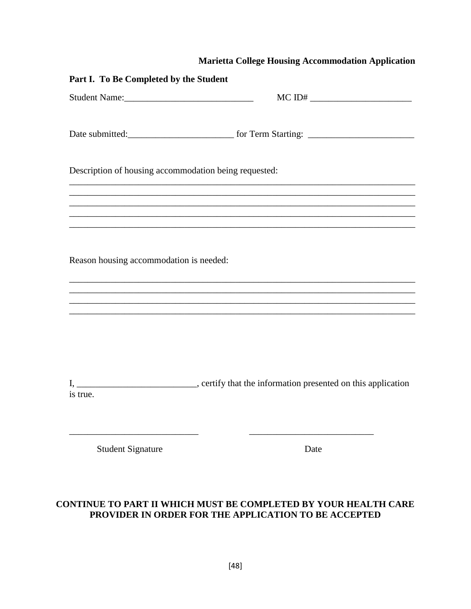#### **Marietta College Housing Accommodation Application**

| Part I. To Be Completed by the Student                                                                                                                                         |      |  |
|--------------------------------------------------------------------------------------------------------------------------------------------------------------------------------|------|--|
|                                                                                                                                                                                |      |  |
|                                                                                                                                                                                |      |  |
| Description of housing accommodation being requested:<br><u> 1989 - Johann Barn, mars ann an t-Amhain an t-Amhain an t-Amhain an t-Amhain an t-Amhain an t-Amhain an t-Amh</u> |      |  |
|                                                                                                                                                                                |      |  |
|                                                                                                                                                                                |      |  |
| Reason housing accommodation is needed:                                                                                                                                        |      |  |
|                                                                                                                                                                                |      |  |
|                                                                                                                                                                                |      |  |
| is true.                                                                                                                                                                       |      |  |
| <b>Student Signature</b>                                                                                                                                                       | Date |  |

#### **CONTINUE TO PART II WHICH MUST BE COMPLETED BY YOUR HEALTH CARE PROVIDER IN ORDER FOR THE APPLICATION TO BE ACCEPTED**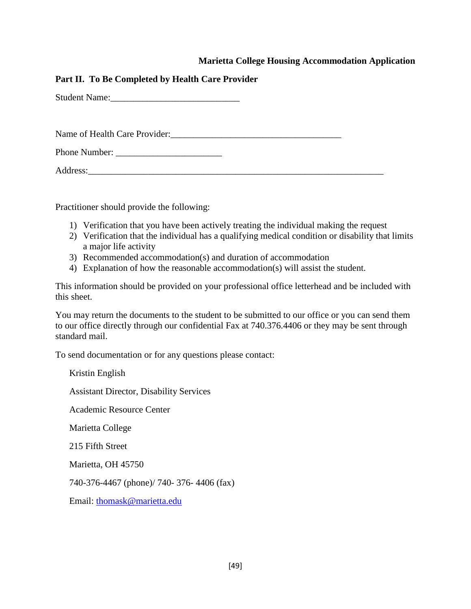#### **Marietta College Housing Accommodation Application**

#### **Part II. To Be Completed by Health Care Provider**

Student Name:

Name of Health Care Provider:\_\_\_\_\_\_\_\_\_\_\_\_\_\_\_\_\_\_\_\_\_\_\_\_\_\_\_\_\_\_\_\_\_\_\_\_\_

Phone Number:

Address:

Practitioner should provide the following:

- 1) Verification that you have been actively treating the individual making the request
- 2) Verification that the individual has a qualifying medical condition or disability that limits a major life activity
- 3) Recommended accommodation(s) and duration of accommodation
- 4) Explanation of how the reasonable accommodation(s) will assist the student.

This information should be provided on your professional office letterhead and be included with this sheet.

You may return the documents to the student to be submitted to our office or you can send them to our office directly through our confidential Fax at 740.376.4406 or they may be sent through standard mail.

To send documentation or for any questions please contact:

Kristin English Assistant Director, Disability Services Academic Resource Center Marietta College 215 Fifth Street Marietta, OH 45750 740-376-4467 (phone)/ 740- 376- 4406 (fax) Email: [thomask@marietta.edu](mailto:thomask@marietta.edu)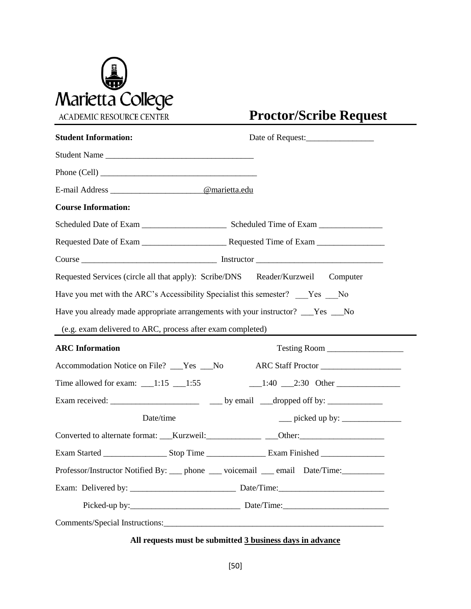

# **Proctor/Scribe Request**

| <b>Student Information:</b>                                                       |                                                                                                                                                                                                                                                                                                                                                                                                                                                                               |
|-----------------------------------------------------------------------------------|-------------------------------------------------------------------------------------------------------------------------------------------------------------------------------------------------------------------------------------------------------------------------------------------------------------------------------------------------------------------------------------------------------------------------------------------------------------------------------|
| Student Name                                                                      |                                                                                                                                                                                                                                                                                                                                                                                                                                                                               |
|                                                                                   |                                                                                                                                                                                                                                                                                                                                                                                                                                                                               |
| E-mail Address _____________________@marietta.edu                                 |                                                                                                                                                                                                                                                                                                                                                                                                                                                                               |
| <b>Course Information:</b>                                                        |                                                                                                                                                                                                                                                                                                                                                                                                                                                                               |
|                                                                                   |                                                                                                                                                                                                                                                                                                                                                                                                                                                                               |
|                                                                                   |                                                                                                                                                                                                                                                                                                                                                                                                                                                                               |
|                                                                                   |                                                                                                                                                                                                                                                                                                                                                                                                                                                                               |
| Requested Services (circle all that apply): Scribe/DNS Reader/Kurzweil Computer   |                                                                                                                                                                                                                                                                                                                                                                                                                                                                               |
| Have you met with the ARC's Accessibility Specialist this semester? Yes No        |                                                                                                                                                                                                                                                                                                                                                                                                                                                                               |
| Have you already made appropriate arrangements with your instructor? ___Yes ___No |                                                                                                                                                                                                                                                                                                                                                                                                                                                                               |
| (e.g. exam delivered to ARC, process after exam completed)                        |                                                                                                                                                                                                                                                                                                                                                                                                                                                                               |
| <b>ARC</b> Information                                                            | Testing Room                                                                                                                                                                                                                                                                                                                                                                                                                                                                  |
| Accommodation Notice on File? __Yes __No ARC Staff Proctor _____________________  |                                                                                                                                                                                                                                                                                                                                                                                                                                                                               |
| Time allowed for exam: $\_\_$ 1:15 $\_\_$ 1:55                                    | $1:40$ $2:30$ Other                                                                                                                                                                                                                                                                                                                                                                                                                                                           |
|                                                                                   |                                                                                                                                                                                                                                                                                                                                                                                                                                                                               |
| Date/time                                                                         | $\frac{1}{\sqrt{1-\frac{1}{2}}}\text{ picked up by:}\frac{1}{\sqrt{1-\frac{1}{2}}}\text{ gives:}\frac{1}{\sqrt{1-\frac{1}{2}}}\text{ gives:}\frac{1}{\sqrt{1-\frac{1}{2}}}\text{ gives:}\frac{1}{\sqrt{1-\frac{1}{2}}}\text{ gives:}\frac{1}{\sqrt{1-\frac{1}{2}}}\text{ and } \frac{1}{\sqrt{1-\frac{1}{2}}}\text{ gives:}\frac{1}{\sqrt{1-\frac{1}{2}}}\text{ and } \frac{1}{\sqrt{1-\frac{1}{2}}}\text{ gives:}\frac{1}{\sqrt{1-\frac{1}{2}}}\text{ and } \frac{1}{\sqrt{$ |
| Converted to alternate format: ___Kurzweil: ______________ ___Other: ____________ |                                                                                                                                                                                                                                                                                                                                                                                                                                                                               |
|                                                                                   |                                                                                                                                                                                                                                                                                                                                                                                                                                                                               |
| Professor/Instructor Notified By: __ phone __ voicemail __ email Date/Time:______ |                                                                                                                                                                                                                                                                                                                                                                                                                                                                               |
|                                                                                   |                                                                                                                                                                                                                                                                                                                                                                                                                                                                               |
|                                                                                   |                                                                                                                                                                                                                                                                                                                                                                                                                                                                               |
|                                                                                   |                                                                                                                                                                                                                                                                                                                                                                                                                                                                               |

#### **All requests must be submitted 3 business days in advance**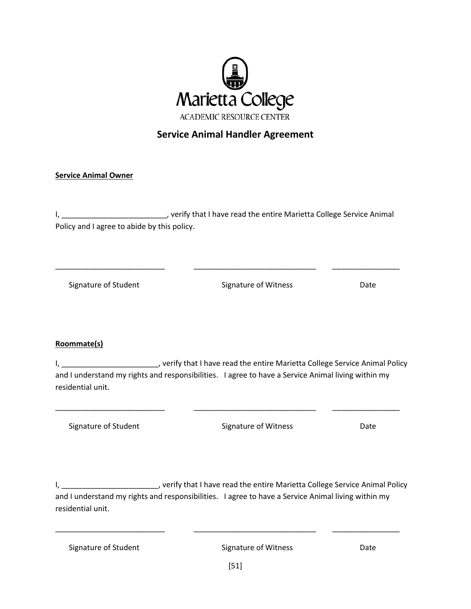

#### **Service Animal Handler Agreement**

#### **Service Animal Owner**

I, \_\_\_\_\_\_\_\_\_\_\_\_\_\_\_\_\_\_\_\_\_\_\_\_\_\_\_\_, verify that I have read the entire Marietta College Service Animal Policy and I agree to abide by this policy.

\_\_\_\_\_\_\_\_\_\_\_\_\_\_\_\_\_\_\_\_\_\_\_\_\_\_ \_\_\_\_\_\_\_\_\_\_\_\_\_\_\_\_\_\_\_\_\_\_\_\_\_\_\_\_\_ \_\_\_\_\_\_\_\_\_\_\_\_\_\_\_\_

Signature of Student The Signature of Witness Date Date

#### **Roommate(s)**

I, \_\_\_\_\_\_\_\_\_\_\_\_\_\_\_\_\_\_\_\_\_\_\_\_, verify that I have read the entire Marietta College Service Animal Policy and I understand my rights and responsibilities. I agree to have a Service Animal living within my residential unit.

\_\_\_\_\_\_\_\_\_\_\_\_\_\_\_\_\_\_\_\_\_\_\_\_\_\_ \_\_\_\_\_\_\_\_\_\_\_\_\_\_\_\_\_\_\_\_\_\_\_\_\_\_\_\_\_ \_\_\_\_\_\_\_\_\_\_\_\_\_\_\_\_

Signature of Student The Signature of Witness Date Date

I, \_\_\_\_\_\_\_\_\_\_\_\_\_\_\_\_\_\_\_\_\_\_\_, verify that I have read the entire Marietta College Service Animal Policy and I understand my rights and responsibilities. I agree to have a Service Animal living within my residential unit.

\_\_\_\_\_\_\_\_\_\_\_\_\_\_\_\_\_\_\_\_\_\_\_\_\_\_ \_\_\_\_\_\_\_\_\_\_\_\_\_\_\_\_\_\_\_\_\_\_\_\_\_\_\_\_\_ \_\_\_\_\_\_\_\_\_\_\_\_\_\_\_\_

Signature of Witness Date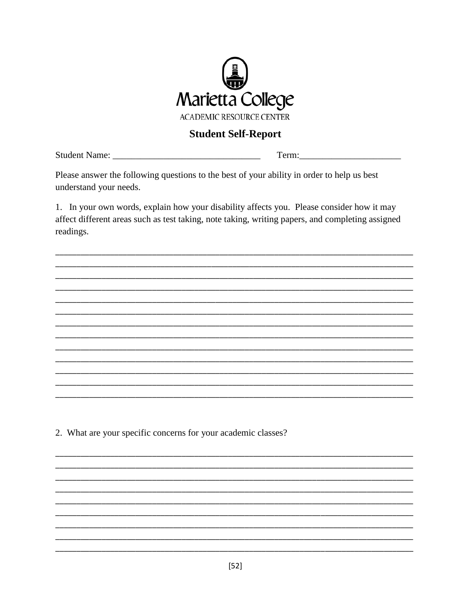

#### **Student Self-Report**

Term:

Please answer the following questions to the best of your ability in order to help us best understand your needs.

1. In your own words, explain how your disability affects you. Please consider how it may affect different areas such as test taking, note taking, writing papers, and completing assigned readings.

2. What are your specific concerns for your academic classes?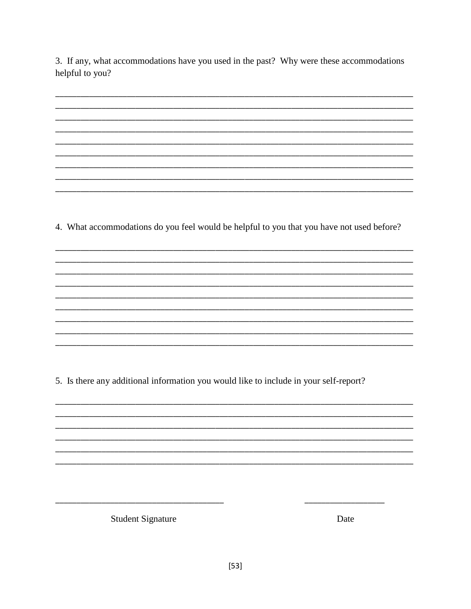3. If any, what accommodations have you used in the past? Why were these accommodations helpful to you?

4. What accommodations do you feel would be helpful to you that you have not used before?

5. Is there any additional information you would like to include in your self-report?

**Student Signature** 

Date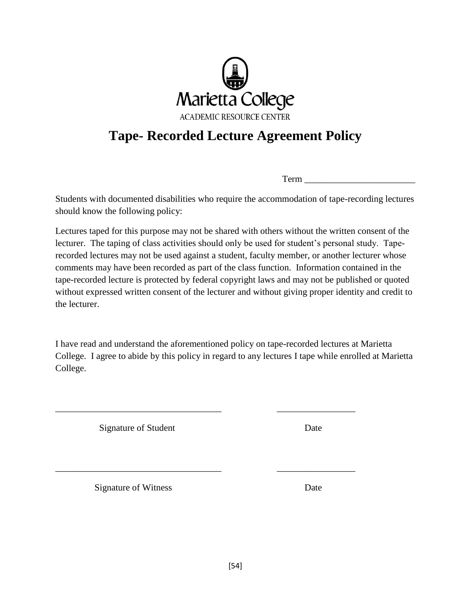

# **Tape- Recorded Lecture Agreement Policy**

Term \_\_\_\_\_\_\_\_\_\_\_\_\_\_\_\_\_\_\_\_\_\_\_\_

Students with documented disabilities who require the accommodation of tape-recording lectures should know the following policy:

Lectures taped for this purpose may not be shared with others without the written consent of the lecturer. The taping of class activities should only be used for student's personal study. Taperecorded lectures may not be used against a student, faculty member, or another lecturer whose comments may have been recorded as part of the class function. Information contained in the tape-recorded lecture is protected by federal copyright laws and may not be published or quoted without expressed written consent of the lecturer and without giving proper identity and credit to the lecturer.

I have read and understand the aforementioned policy on tape-recorded lectures at Marietta College. I agree to abide by this policy in regard to any lectures I tape while enrolled at Marietta College.

\_\_\_\_\_\_\_\_\_\_\_\_\_\_\_\_\_\_\_\_\_\_\_\_\_\_\_\_\_\_\_\_\_\_\_\_ \_\_\_\_\_\_\_\_\_\_\_\_\_\_\_\_\_

\_\_\_\_\_\_\_\_\_\_\_\_\_\_\_\_\_\_\_\_\_\_\_\_\_\_\_\_\_\_\_\_\_\_\_\_ \_\_\_\_\_\_\_\_\_\_\_\_\_\_\_\_\_

Signature of Student Date

Signature of Witness Date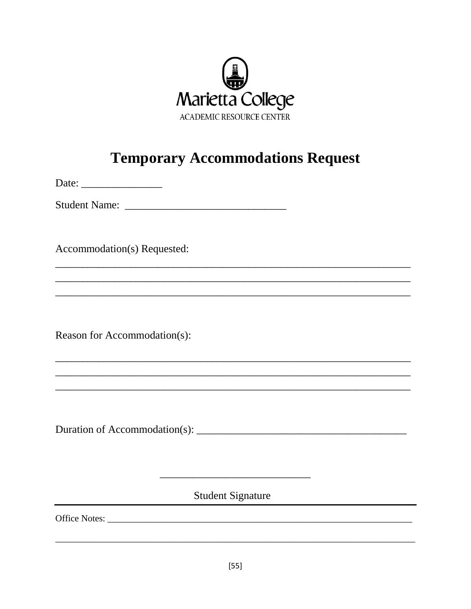

# **Temporary Accommodations Request**

Accommodation(s) Requested:

Reason for Accommodation(s):

**Student Signature** 

<u> 1980 - Jan Barbara Barbara, masa ka</u>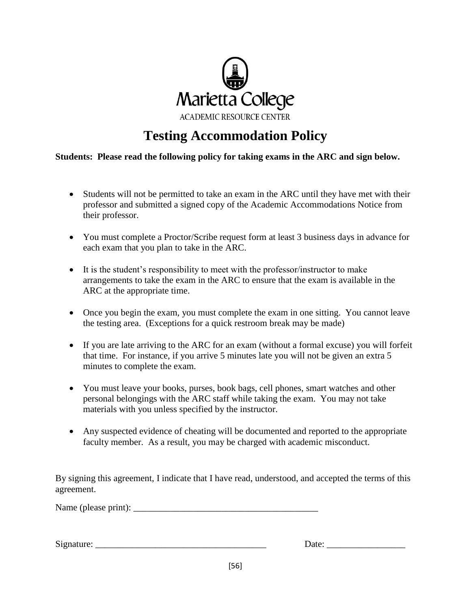

# **Testing Accommodation Policy**

**Students: Please read the following policy for taking exams in the ARC and sign below.**

- Students will not be permitted to take an exam in the ARC until they have met with their professor and submitted a signed copy of the Academic Accommodations Notice from their professor.
- You must complete a Proctor/Scribe request form at least 3 business days in advance for each exam that you plan to take in the ARC.
- It is the student's responsibility to meet with the professor/instructor to make arrangements to take the exam in the ARC to ensure that the exam is available in the ARC at the appropriate time.
- Once you begin the exam, you must complete the exam in one sitting. You cannot leave the testing area. (Exceptions for a quick restroom break may be made)
- If you are late arriving to the ARC for an exam (without a formal excuse) you will forfeit that time. For instance, if you arrive 5 minutes late you will not be given an extra 5 minutes to complete the exam.
- You must leave your books, purses, book bags, cell phones, smart watches and other personal belongings with the ARC staff while taking the exam. You may not take materials with you unless specified by the instructor.
- Any suspected evidence of cheating will be documented and reported to the appropriate faculty member. As a result, you may be charged with academic misconduct.

By signing this agreement, I indicate that I have read, understood, and accepted the terms of this agreement.

Name (please print): \_\_\_\_\_\_\_\_\_\_\_\_\_\_\_\_\_\_\_\_\_\_\_\_\_\_\_\_\_\_\_\_\_\_\_\_\_\_\_\_

Signature: \_\_\_\_\_\_\_\_\_\_\_\_\_\_\_\_\_\_\_\_\_\_\_\_\_\_\_\_\_\_\_\_\_\_\_\_\_ Date: \_\_\_\_\_\_\_\_\_\_\_\_\_\_\_\_\_